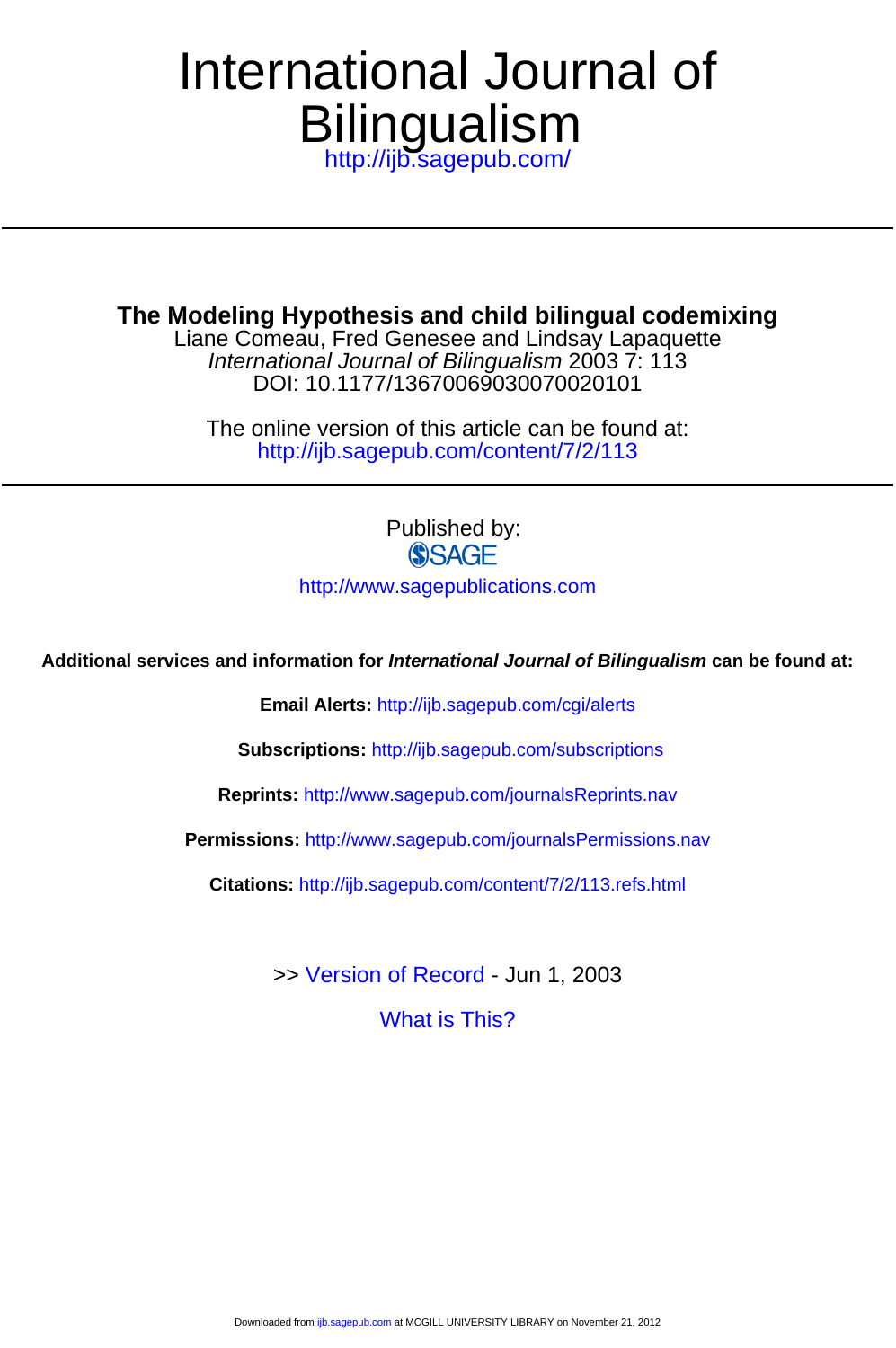## **Bilingualism** International Journal of

<http://ijb.sagepub.com/>

**The Modeling Hypothesis and child bilingual codemixing**

DOI: 10.1177/13670069030070020101 International Journal of Bilingualism 2003 7: 113 Liane Comeau, Fred Genesee and Lindsay Lapaquette

<http://ijb.sagepub.com/content/7/2/113> The online version of this article can be found at:

Published by:<br>
SAGE

<http://www.sagepublications.com>

**Additional services and information for International Journal of Bilingualism can be found at:**

**Email Alerts:** <http://ijb.sagepub.com/cgi/alerts>

**Subscriptions:** <http://ijb.sagepub.com/subscriptions>

**Reprints:** <http://www.sagepub.com/journalsReprints.nav>

**Permissions:** <http://www.sagepub.com/journalsPermissions.nav>

**Citations:** <http://ijb.sagepub.com/content/7/2/113.refs.html>

>> [Version of Record -](http://ijb.sagepub.com/content/7/2/113.full.pdf) Jun 1, 2003

[What is This?](http://online.sagepub.com/site/sphelp/vorhelp.xhtml)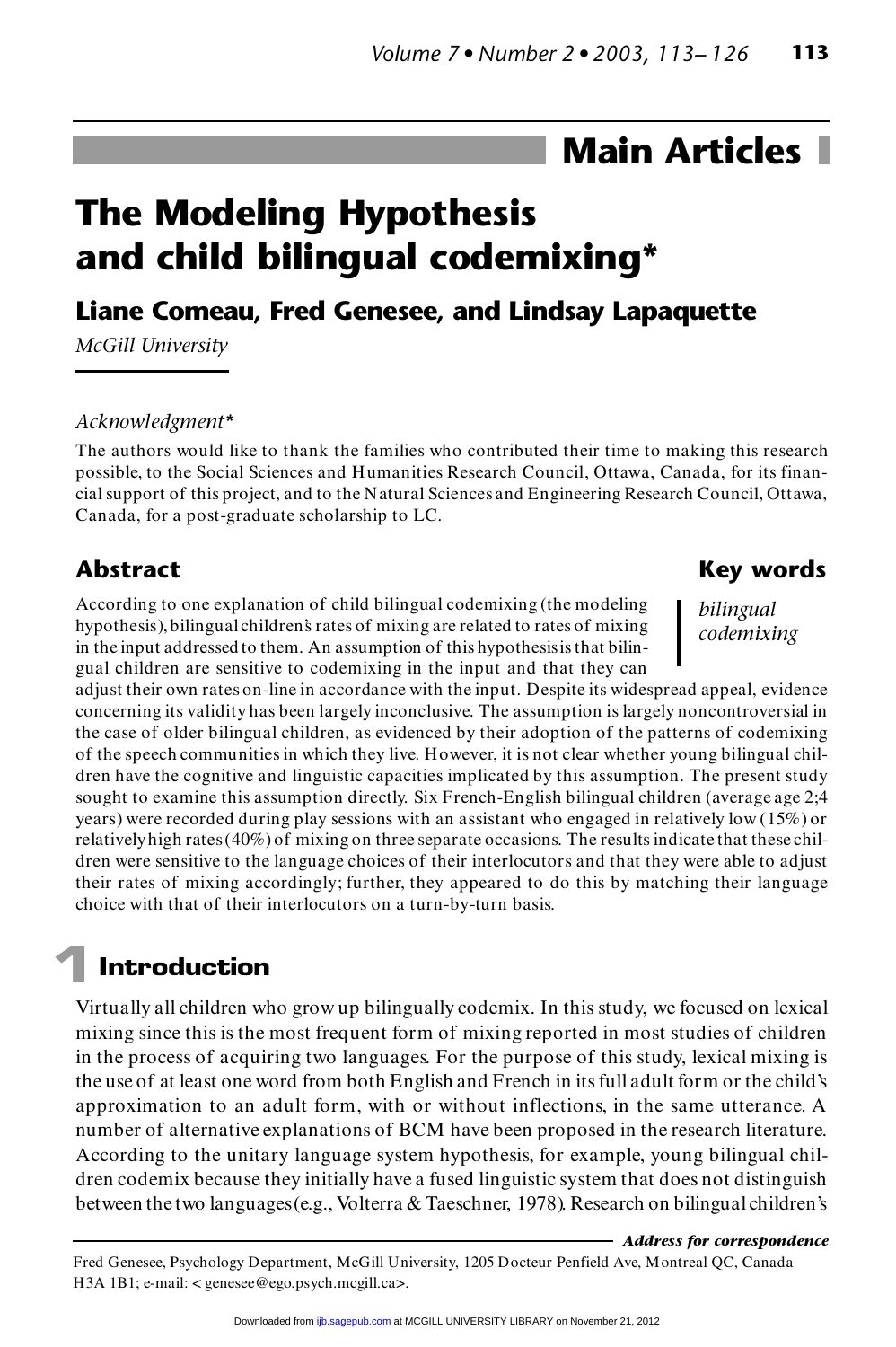## **Main Articles**

# **The Modeling Hypothesis and child bilingual codemixing\* Liane Comeau, Fred Genesee, and Lindsay Lapaquette**

*McGill University*

#### *Acknowledgment\**

The authors would like to thank the families who contributed their time to making this research Acknowledgment\*<br>The authors would like to thank the families who contributed their time to making this research<br>possible, to the Social Sciences and Humanities Research Council, Ottawa, Canada, for its finan-<br>sial support The authors would like to thank the families who contributed their time to making this research<br>possible, to the Social Sciences and Humanities Research Council, Ottawa, Canada, for its finan-<br>cial support of this project, possible, to the Social Sciences and Humanities R<br>cial support of this project, and to the Natural Scie<br>Canada, for a post-graduate scholarship to LC.

#### **Abstract**

**Abstract**<br>According to one explanation of child bilingual codemixing (the modeling<br>hypothesis) bilingual shildren hastes of mixing are related to rates of mixing Abstract<br>According to one explanation of child bilingual codemixing (the modeling<br>hypothesis), bilingual children's rates of mixing are related to rates of mixing<br>in the innut addressed to them. An essumption of this hypot According to one explanation of child bilingual codemixing (the modeling<br>hypothesis), bilingual children's rates of mixing are related to rates of mixing<br>in the input addressed to them. An assumption of this hypothesis is gual children are sensitive to codemixing in the input and that they can in the input addressed to them. An assumption of this hypothesis is that bilin-<br>gual children are sensitive to codemixing in the input and that they can<br>adjust their own rates on-line in accordance with the input. Despite

#### **Key words**

*bilingual codemixing*

concerning its validity has been largely inconclusive. The assumption is largely noncontroversial in adjust their own rates on-line in accordance with the input. Despite its widespread appeal, evidence<br>concerning its validity has been largely inconclusive. The assumption is largely noncontroversial in<br>the case of older bi concerning its validity has been largely inconclusive. The assumption is largely noncontroversial in<br>the case of older bilingual children, as evidenced by their adoption of the patterns of codemixing<br>of the speech communit the case of older bilingual children, as evidenced by their adoption of the patterns of codemixing<br>of the speech communities in which they live. However, it is not clear whether young bilingual chil-<br>dren have the cognitiv of the speech communities in which they live. However, it is not clear whether young bilingual chil-<br>dren have the cognitive and linguistic capacities implicated by this assumption. The present study<br>sought to examine this years) were recorded during play sessions with an assistant who engaged in relatively low (15%) or sought to examine this assumption directly. Six French-English bilingual children (average age 2:4)<br>years) were recorded during play sessions with an assistant who engaged in relatively low (15%) or<br>relatively high rates ( years) were recorded during play sessions with an assistant who engaged in relatively low (15%) or<br>relatively high rates (40%) of mixing on three separate occasions. The results indicate that these chil-<br>dren were sensitiv relatively high rates (40%) of mixing on three separate occasions. The results indicate that these children were sensitive to the language choices of their interlocutors and that they were able to adjust their rates of mix dren were sensitive to the language choices of their interlocutors and that they were able to adjust<br>their rates of mixing accordingly; further, they appeared to do this by matching their language<br>choice with that of their

### **1Introduction**

Introduction<br>Virtually all children who grow up bilingually codemix. In this study, we focused on lexical<br>which stings this is the west focus of mining assessed in west to disc of shilders ITTEN CERTURES<br>
Virtually all children who grow up bilingually codemix. In this study, we focused on lexical<br>
mixing since this is the most frequent form of mixing reported in most studies of children<br>
in the presenting th Virtually all children who grow up bilingually codemix. In this study, we focused on lexical<br>mixing since this is the most frequent form of mixing reported in most studies of children<br>in the process of acquiring two langua mixing since this is the most frequent form of mixing reported in most studies of children<br>in the process of acquiring two languages. For the purpose of this study, lexical mixing is<br>the use of at least one word from both in the process of acquiring two languages. For the purpose of this study, lexical mixing is<br>the use of at least one word from both English and French in its full adult form or the child's<br>approximation to an adult form, wi the use of at least one word from both English and French in its full adult form or the child's approximation to an adult form, with or without inflections, in the same utterance. A number of alternative explanations of BC approximation to an adult form, with or without inflections, in the same utterance. A dren codemix because they initially have a fused linguistic system that does not distinguish between the two languages (e.g., Volterra & Taeschner, 1978). Research on bilingual children's

*Address for correspondence*

Address for corresponden<br>Fred Genesee, Psychology Department, McGill University, 1205 Docteur Penfield Ave, Montreal QC, Canada H3A 1B1; e-mail: < genesee@ego.psych.mcgill.ca>.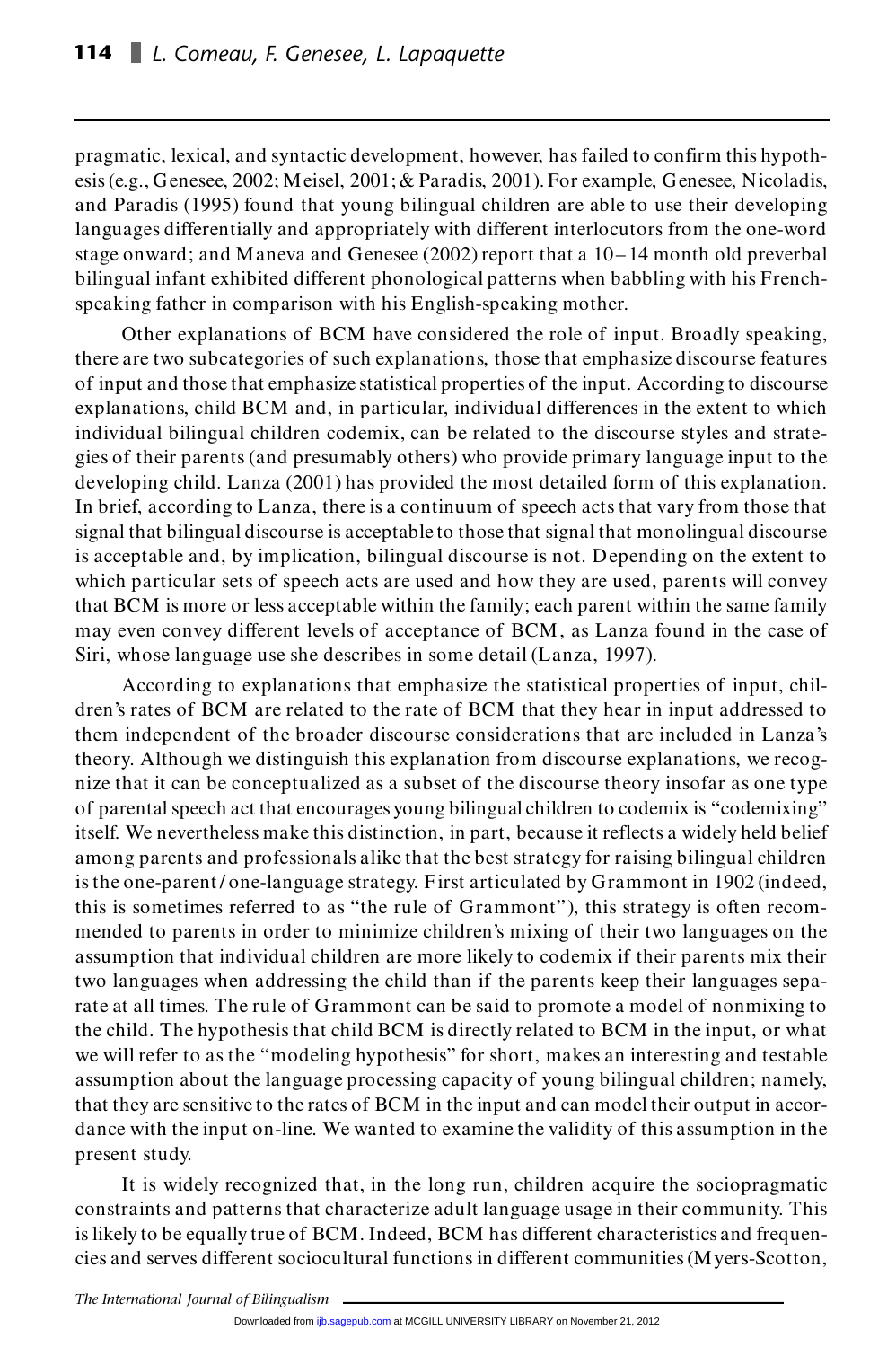pragmatic, lexical, and syntactic development, however, has failed to confirm this hypothesis (e.g., Genesee, 2002; Meisel, 2001; & Paradis, 2001). For example, Genesee, Nicoladis, and Paradis (1995) found that young bilingual children are able to use their developing languages differentially and appropriately with different interlocutors from the one-word stage onward; and Maneva and Genesee (2002) report that a 10– 14 month old preverbal bilingual infant exhibited different phonological patterns when babbling with his Frenchspeaking father in comparison with his English-speaking mother.

Other explanations of BCM have considered the role of input. Broadly speaking, there are two subcategories of such explanations, those that emphasize discourse features Other explanations of BCM have considered the role of input. Broadly speaking,<br>there are two subcategories of such explanations, those that emphasize discourse features<br>of input and those that emphasize statistical propert there are two subcategories of such explanations, those that emphasize discourse features<br>of input and those that emphasize statistical properties of the input. According to discourse<br>explanations, child BCM and, in partic of input and those that emphasize statistical properties of the input. According to discourse<br>explanations, child BCM and, in particular, individual differences in the extent to which<br>individual bilingual children codemix, explanations, child BCM and, in particular, individual differences in the extent to which<br>individual bilingual children codemix, can be related to the discourse styles and strate-<br>gies of their parents (and presumably othe individual bilingual children codemix, can be related to the discourse styles and strategies of their parents (and presumably others) who provide primary language input to the developing child. Lanza (2001) has provided th In brief, according to Lanza, there is a continuum of speech acts that vary from those that signal that bilingual discourse is acceptable to those that signal that monolingual discourse In brief, according to Lanza, there is a continuum of speech acts that vary from those that<br>signal that bilingual discourse is acceptable to those that signal that monolingual discourse<br>is acceptable and, by implication, b signal that bilingual discourse is acceptable to those that signal that monolingual discourse<br>is acceptable and, by implication, bilingual discourse is not. Depending on the extent to<br>which particular sets of speech acts a is acceptable and, by implication, bilingual discourse is not. Depending on the extent to<br>which particular sets of speech acts are used and how they are used, parents will convey<br>that BCM is more or less acceptable within which particular sets of speech acts are used and how they are used, parents will convey<br>that BCM is more or less acceptable within the family; each parent within the same family<br>may even convey different levels of accepta that BCM is more or less acceptable within the family; each parent with<br>may even convey different levels of acceptance of BCM, as Lanza fo<br>Siri, whose language use she describes in some detail (Lanza, 1997). may even convey different levels of acceptance of BCM, as Lanza found in the case of<br>Siri, whose language use she describes in some detail (Lanza, 1997).<br>According to explanations that emphasize the statistical properties

dren's rates of BCM are related to the rate of BCM that they hear in input addressed to them independent of the broader discourse considerations that are included in Lanza's theory. Although we distinguish this explanation from discourse explanations, we recogthem independent of the broader discourse considerations that are included in Lanza's<br>theory. Although we distinguish this explanation from discourse explanations, we recog-<br>nize that it can be conceptualized as a subset o theory. Although we distinguish this explanation from discourse explanations, we recognize that it can be conceptualized as a subset of the discourse theory insofar as one type of parental speech act that encourages young nize that it can be conceptualized as a subset of the discourse theory insofar as one type<br>of parental speech act that encourages young bilingual children to codemix is "codemixing"<br>itself. We nevertheless make this distin among parents and professionals alike that the best strategy for raising bilingual children itself. We nevertheless make this distinction, in part, because it reflects a widely held belief among parents and professionals alike that the best strategy for raising bilingual children is the one-parent/one-language st among parents and professionals alike that the best strategy for raising bilingual children<br>is the one-parent/one-language strategy. First articulated by Grammont in 1902 (indeed,<br>this is sometimes referred to as "the rule is the one-parent/one-language strategy. First articulated by Grammont in 1902 (indeed,<br>this is sometimes referred to as "the rule of Grammont"), this strategy is often recom-<br>mended to parents in order to minimize childre this is sometimes referred to as "the rule of Grammont"), this strategy is often recommended to parents in order to minimize children's mixing of their two languages on the assumption that individual children are more like mended to parents in order to minimize children's mixing of their two languages on the assumption that individual children are more likely to codemix if their parents mix their two languages when addressing the child than assumption that individual children are more likely to codemix if their parents mix their<br>two languages when addressing the child than if the parents keep their languages sepa-<br>rate at all times. The rule of Grammont can b two languages when addressing the child than if the parents keep their languages separate at all times. The rule of Grammont can be said to promote a model of nonmixing to the child. The hypothesis that child BCM is direct rate at all times. The rule of Grammont can be said to promote a model of nonmixing to<br>the child. The hypothesis that child BCM is directly related to BCM in the input, or what<br>we will refer to as the "modeling hypothesis" the child. The hypothesis that child BCM is directly related to BCM in the input, or what we will refer to as the "modeling hypothesis" for short, makes an interesting and testable assumption about the language processing we will refer to as the "modeling hypothesis" for short, makes an interesting and testable dance with the input on-line. We wanted to examine the validity of this assumption in the present study.

It is widely recognized that, in the long run, children acquire the sociopragmatic present study.<br>It is widely recognized that, in the long run, children acquire the sociopragmatic<br>constraints and patterns that characterize adult language usage in their community. This<br>in the community. It is widely recognized that, in the long run, children acquire the sociopragmatic<br>constraints and patterns that characterize adult language usage in their community. This<br>is likely to be equally true of BCM. Indeed, BCM h cies and serves different sociocultural functions in different communities (Myers-Scotton,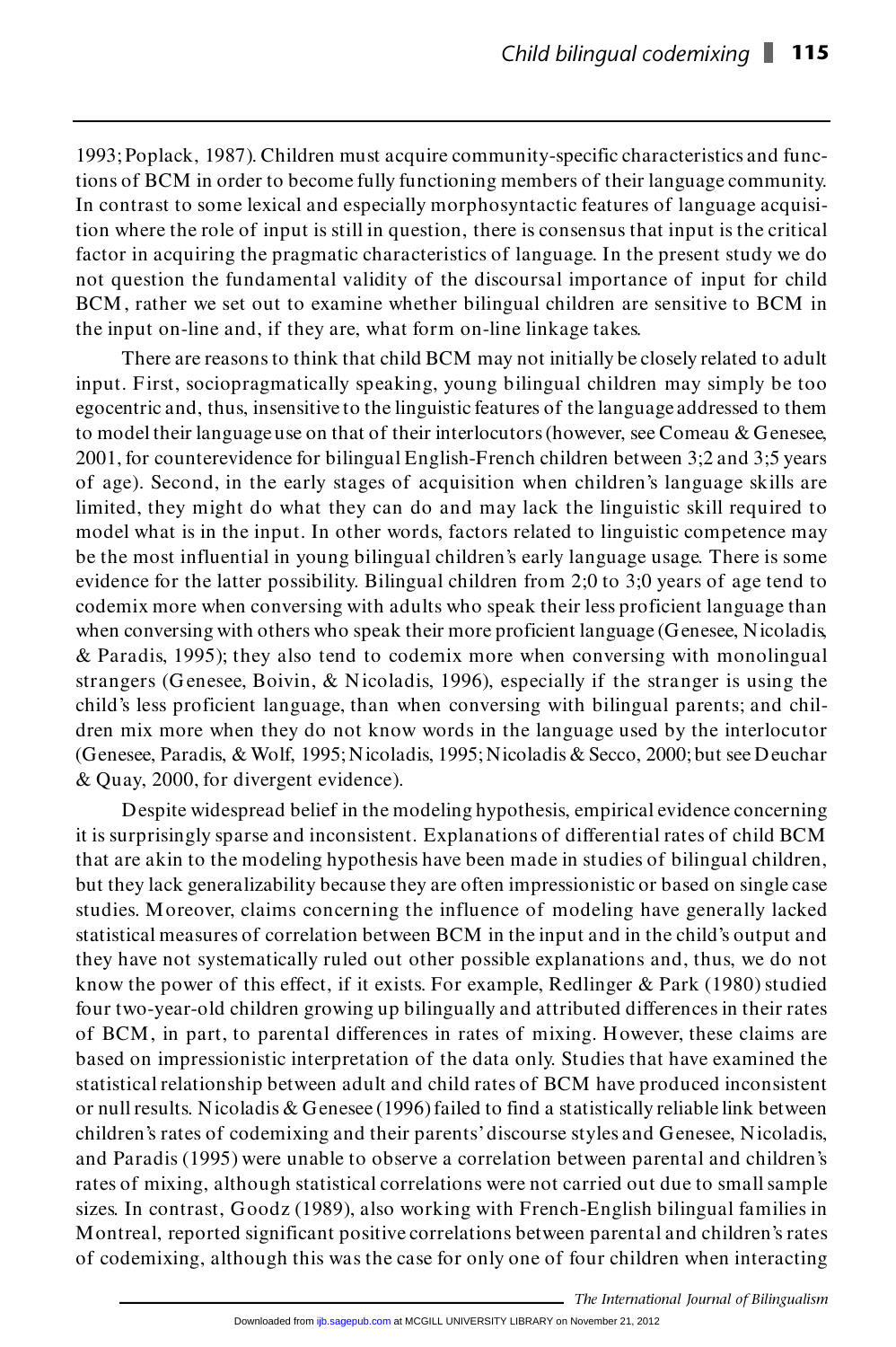1993; Poplack, 1987). Children must acquire community-specific characteristics and func-1993; Poplack, 1987). Children must acquire community-specific characteristics and functions of BCM in order to become fully functioning members of their language community.<br>In contrast to come lavicel and consciolly membe 1993; Poplack, 1987). Children must acquire community-specific characteristics and functions of BCM in order to become fully functioning members of their language community.<br>In contrast to some lexical and especially morph In contrast to some lexical and especially morphosyntactic features of language acquisifactor in acquiring the pragmatic characteristics of language. In the present study we do not question the fundamental validity of the discoursal importance of input for child factor in acquiring the pragmatic characteristics of language. In the present study we do factor in acquiring the pragmatic characteristics of language. In the present study we do<br>not question the fundamental validity of the discoursal importance of input for child<br>BCM, rather we set out to examine whether bili not question the fundamental validity of the discoursal importance BCM, rather we set out to examine whether bilingual children are :<br>the input on-line and, if they are, what form on-line linkage takes.

There are reasons to think that child BCM may not initially be closely related to adult the input on-line and, if they are, what form on-line linkage takes.<br>There are reasons to think that child BCM may not initially be closely related to adult<br>input. First, sociopragmatically speaking, young bilingual childr There are reasons to think that child BCM may not initially be closely related to adult<br>input. First, sociopragmatically speaking, young bilingual children may simply be too<br>egocentric and, thus, insensitive to the linguis input. First, sociopragmatically speaking, young bilingual children may simply be too egocentric and, thus, insensitive to the linguistic features of the language addressed to them<br>to model their language use on that of th egocentric and, thus, insensitive to the linguistic features of the language addressed to them<br>to model their language use on that of their interlocutors (however, see Comeau & Genesee,<br>2001, for counterevidence for biling to model their language use on that of their interlocutors (however, see Comeau & Genesee, 2001, for counterevidence for bilingual English-French children between 3;2 and 3;5 years of age). Second, in the early stages of a of age). Second, in the early stages of acquisition when children's language skills are of age). Second, in the early stages of acquisition when children's language skills are<br>limited, they might do what they can do and may lack the linguistic skill required to<br>model what is in the input. In other words, fact limited, they might do what they can do and may lack the linguistic skill required to model what is in the input. In other words, factors related to linguistic competence may be the most influential in young bilingual chil model what is in the input. In other words, factors related to linguistic competence may<br>be the most influential in young bilingual children searly language usage. There is some<br>evidence for the latter possibility. Bilingu codemix more when conversing with adults who speak their less proficient language than<br>when conversing with others who speak their more proficient language (Genesee, Nicoladis,<br>& Paradis, 1995); they also tend to codemix m evidence for the latter possibility. Bilingual children from 2;0 to 3;0 years of age tend to codemix more when conversing with adults who speak their less proficient language than when conversing with others who speak thei when conversing with others who speak their more proficient language (Genesee, Nicoladis, & Paradis, 1995); they also tend to codemix more when conversing with monolingual strangers (Genesee, Boivin, & Nicoladis, 1996), es & Paradis, 1995); they also tend to codemix more when conversing with monolingual strangers (Genesee, Boivin, & Nicoladis, 1996), especially if the stranger is using the child's less proficient language, than when conversi dren mix more when they do not know words in the language used by the interlocutor child's less proficient language, than when conversing with bilingual parents; and chil-<br>dren mix more when they do not know words in the language used by the interlocutor<br>(Genesee, Paradis, & Wolf, 1995; Nicoladis, 1995; dren mix more when they do not know<br>(Genesee, Paradis, & Wolf, 1995; Nicoladi<br>& Quay, 2000, for divergent evidence). (Genesee, Paradis, & Wolf, 1995; Nicoladis, 1995; Nicoladis & Secco, 2000; but see Deuchar & Quay, 2000, for divergent evidence).<br>Despite widespread belief in the modeling hypothesis, empirical evidence concerning

& Quay, 2000, for divergent evidence).<br>
Despite widespread belief in the modeling hypothesis, empirical evidence concerning<br>
it is surprisingly sparse and inconsistent. Explanations of differential rates of child BCM<br>
it i Despite widespread belief in the modeling hypothesis, empirical evidence concerning<br>it is surprisingly sparse and inconsistent. Explanations of differential rates of child BCM<br>that are akin to the modeling hypothesis have but they lack generalizability because they are often impressionistic or based on single case that are akin to the modeling hypothesis have been made in studies of bilingual children,<br>but they lack generalizability because they are often impressionistic or based on single case<br>studies. Moreover, claims concerning t but they lack generalizability because they are often impressionistic or based on single case<br>studies. Moreover, claims concerning the influence of modeling have generally lacked<br>statistical measures of correlation between studies. Moreover, claims concerning the influence of modeling have generally lacked<br>statistical measures of correlation between BCM in the input and in the child's output and<br>they have not systematically ruled out other p statistical measures of correlation between BCM in the input and in the child's output and<br>they have not systematically ruled out other possible explanations and, thus, we do not<br>know the power of this effect, if it exists four two-year-old children growing up bilingually and attributed differences in their rates know the power of this effect, if it exists. For example, Redlinger & Park (1980) studied<br>four two-year-old children growing up bilingually and attributed differences in their rates<br>of BCM, in part, to parental differences four two-year-old children growing up bilingually and attributed differences in their rates<br>of BCM, in part, to parental differences in rates of mixing. However, these claims are<br>based on impressionistic interpretation of of BCM, in part, to parental differences in rates of mixing. However, these claims are based on impressionistic interpretation of the data only. Studies that have examined the statistical relationship between adult and chi based on impressionistic interpretation of the data only. Studies that have examined the<br>statistical relationship between adult and child rates of BCM have produced inconsistent<br>or null results. Nicoladis & Genesee (1996) statistical relationship between adult and child rates of BCM have produced inconsistent<br>or null results. Nicoladis & Genesee (1996) failed to find a statistically reliable link between<br>children's rates of codemixing and t and Paradis (1995) were unable to observe a correlation between parental and children's children's rates of codemixing and their parents' discourse styles and Genesee, Nicoladis,<br>and Paradis (1995) were unable to observe a correlation between parental and children's<br>rates of mixing, although statistical corre and Paradis (1995) were unable to observe a correlation between parental and children's<br>rates of mixing, although statistical correlations were not carried out due to small sample<br>sizes. In contrast, Goodz (1989), also wor rates of mixing, although statistical correlations were not carried out due to small sample<br>sizes. In contrast, Goodz (1989), also working with French-English bilingual families in<br>Montreal, reported significant positive c sizes. In contrast, Goodz (1989), also working with French-English bilingual families in<br>Montreal, reported significant positive correlations between parental and children's rates<br>of codemixing, although this was the case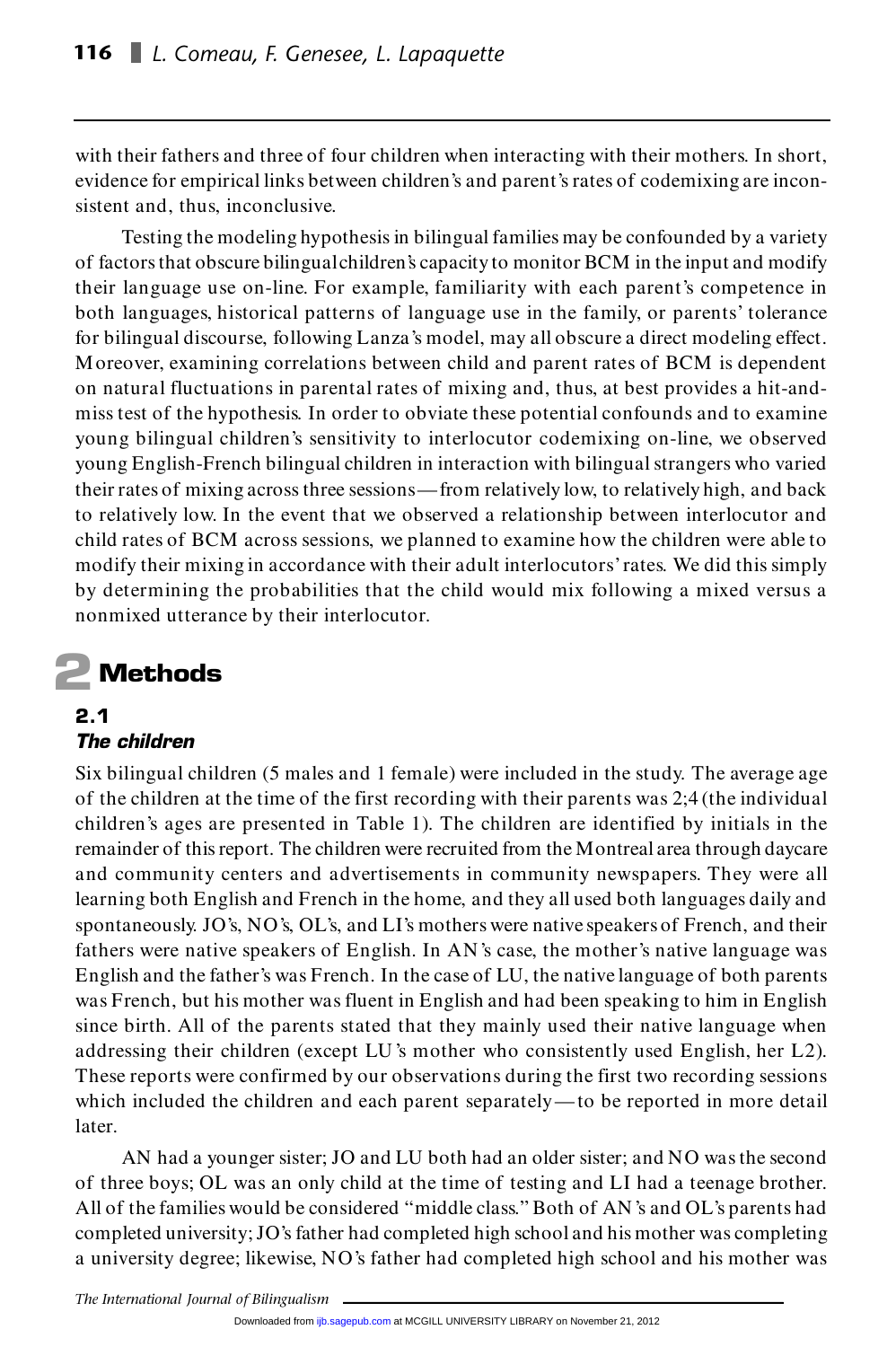with their fathers and three of four children when interacting with their mothers. In short, with their fathers and three of four children when interacting with their mothers. In short,<br>evidence for empirical links between children's and parent's rates of codemixing are inconwith their fathers and three of for<br>evidence for empirical links betwe<br>sistent and, thus, inconclusive.

Testing the modeling hypothesis in bilingual families may be confounded by a variety sistent and, thus, inconclusive.<br>
Testing the modeling hypothesis in bilingual families may be confounded by a variety<br>
of factors that obscure bilingual children's capacity to monitor BCM in the input and modify<br>
their la Testing the modeling hypothesis in bilingual families may be confounded by a variety<br>of factors that obscure bilingual children's capacity to monitor BCM in the input and modify<br>their language use on-line. For example, fam of factors that obscure bilingual children's capacity to monitor BCM in the input and modify<br>their language use on-line. For example, familiarity with each parent's competence in<br>both languages, historical patterns of lang their language use on-line. For example, familiarity with each parent's competence in<br>both languages, historical patterns of language use in the family, or parents' tolerance<br>for bilingual discourse, following Lanza's mode both languages, historical patterns of language use in the family, or parents' tolerance<br>for bilingual discourse, following Lanza's model, may all obscure a direct modeling effect.<br>Moreover, examining correlations between for bilingual discourse, following Lanza's model, may all obscure a direct modeling effect.<br>Moreover, examining correlations between child and parent rates of BCM is dependent<br>on natural fluctuations in parental rates of m Moreover, examining correlations between child and parent rates of BCM is dependent<br>on natural fluctuations in parental rates of mixing and, thus, at best provides a hit-and-<br>miss test of the hypothesis. In order to obviat on natural fluctuations in parental rates of mixing and, thus, at best provides a hit-and-<br>miss test of the hypothesis. In order to obviate these potential confounds and to examine<br>young bilingual children's sensitivity to young English-French bilingual children in interaction with bilingual strangers who varied their rates of mixing across three sessions—from relatively low, to relatively high, and back young English-French bilingual children in interaction with bilingual strangers who varied<br>their rates of mixing across three sessions—from relatively low, to relatively high, and back<br>to relatively low. In the event that their rates of mixing across three sessions—from relatively low, to relatively high, and back<br>to relatively low. In the event that we observed a relationship between interlocutor and<br>child rates of BCM across sessions, we child rates of BCM across sessions, we planned to examine how the children were able to modify their mixing in accordance with their adult interlocutors' rates. We did this simply by determining the probabilities that the child would mix following a mixed versus a nonmixed utterance by their interlocutor.

## **2Methods**

#### **2.1** *The children*

**The children**<br>Six bilingual children (5 males and 1 female) were included in the study. The average age<br>and the study of the study of the study of the study. The average age **The children**<br>Six bilingual children (5 males and 1 female) were included in the study. The average age<br>of the children at the time of the first recording with their parents was 2;4 (the individual<br>bildren's agency propos Six bilingual children (5 males and 1 female) were included in the study. The average age<br>of the children at the time of the first recording with their parents was 2;4 (the individual<br>children's ages are presented in Table of the children at the time of the first recording with their parents was 2;4 (the individual children's ages are presented in Table 1). The children are identified by initials in the remainder of this report. The children children's ages are presented in Table 1). The children are identified by initials in the<br>remainder of this report. The children were recruited from the Montreal area through daycare<br>and community centers and advertisement remainder of this report. The children were recruited from the Montreal area through daycare<br>and community centers and advertisements in community newspapers. They were all<br>learning both English and French in the home, and and community centers and advertisements in community newspapers. They were all<br>learning both English and French in the home, and they all used both languages daily and<br>spontaneously. JO's, NO's, OL's, and LI's mothers wer learning both English and French in the home, and they all used both languages daily and<br>spontaneously. JO's, NO's, OL's, and LI's mothers were native speakers of French, and their<br>fathers were native speakers of English. fathers were native speakers of English. In AN's case, the mother's native language was English and the father's was French. In the case of LU, the native language of both parents fathers were native speakers of English. In AN's case, the mother's native language was<br>English and the father's was French. In the case of LU, the native language of both parents<br>was French, but his mother was fluent in E English and the father's was French. In the case of LU, the native language of both parents<br>was French, but his mother was fluent in English and had been speaking to him in English<br>since birth. All of the parents stated th was French, but his mother was fluent in English and had been speaking to him in English<br>since birth. All of the parents stated that they mainly used their native language when<br>addressing their children (except LU's mother These reports were confirmed by our observations during the first two recording sessions addressing their children (except LU's mother who consistently used English, her L2).<br>These reports were confirmed by our observations during the first two recording sessions<br>which included the children and each parent sep later. which included the children and each parent separately—to be reported in more detail<br>later.<br>AN had a younger sister; JO and LU both had an older sister; and NO was the second

atter.<br>
AN had a younger sister; JO and LU both had an older sister; and NO was the second<br>
of three boys; OL was an only child at the time of testing and LI had a teenage brother.<br>
The state of the state of the state of t AN had a younger sister; JO and LU both had an older sister; and NO was the second<br>of three boys; OL was an only child at the time of testing and LI had a teenage brother.<br>All of the families would be considered "middle cl of three boys; OL was an only child at the time of testing and LI had a teenage brother.<br>All of the families would be considered "middle class." Both of AN's and OL's parents had<br>completed university; JO's father had compl All of the families would be considered "middle class." Both of AN's and OL's parents had<br>completed university; JO's father had completed high school and his mother was completing<br>a university degree; likewise, NO's father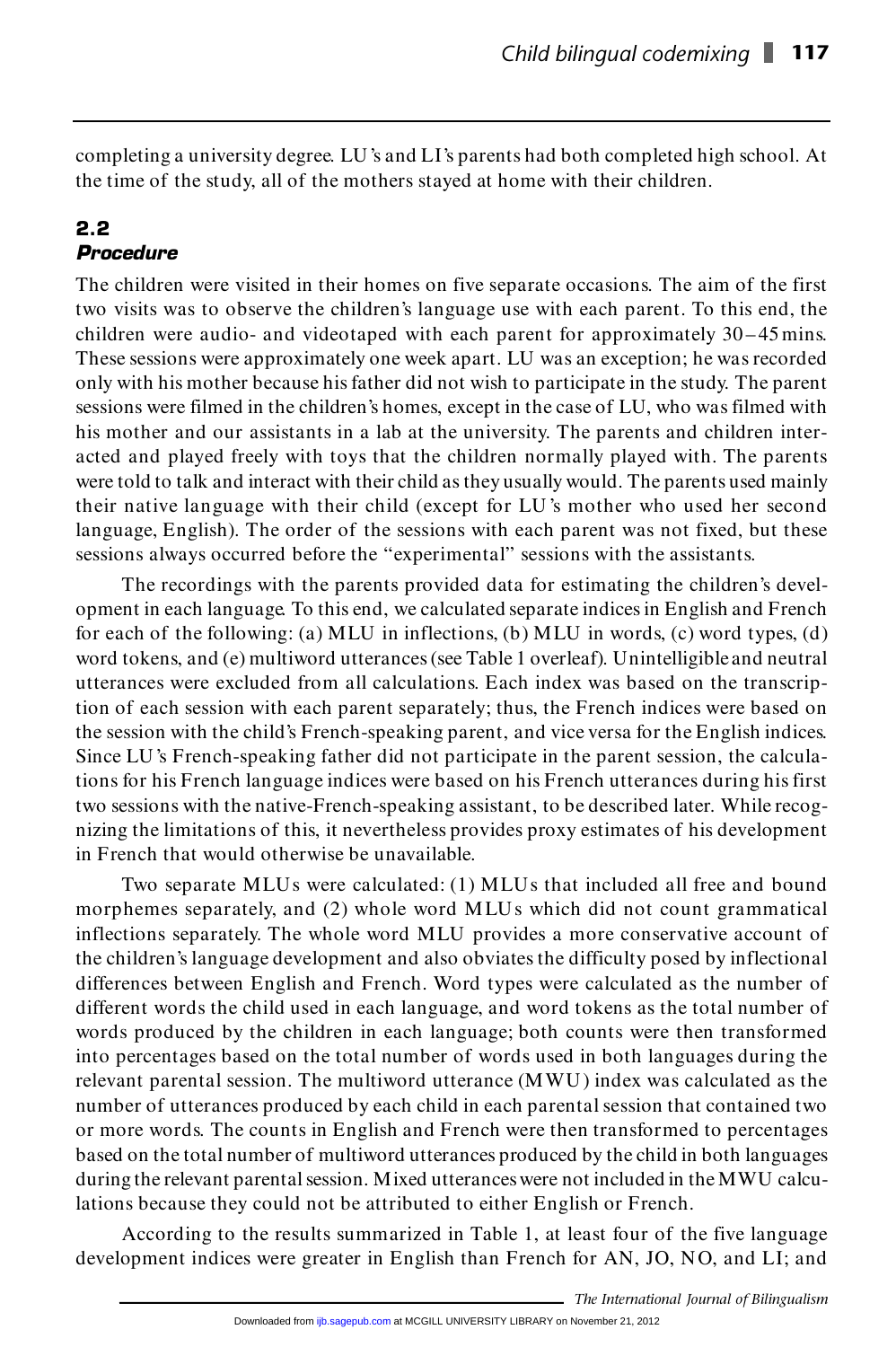completing a university degree. LU 's and LI's parents had both completed high school. At completing a university degree. LU's and LI's parents had both completed high<br>the time of the study, all of the mothers stayed at home with their children.

#### **2.2** *Procedure*

The children were visited in their homes on five separate occasions. The aim of the first **Procedure**<br>The children were visited in their homes on five separate occasions. The aim of the first<br>two visits was to observe the children's language use with each parent. To this end, the<br>ekildren was andia, and videot The children were visited in their homes on five separate occasions. The aim of the first<br>two visits was to observe the children's language use with each parent. To this end, the<br>children were audio- and videotaped with ea two visits was to observe the children's language use with each parent. To this end, the children were audio- and videotaped with each parent for approximately 30–45 mins.<br>These sessions were approximately one week apart. children were audio- and videotaped with each parent for approximately 30–45 mins.<br>These sessions were approximately one week apart. LU was an exception; he was recorded<br>only with his mother because his father did not wish These sessions were approximately one week apart. LU was an exception; he was recorded<br>only with his mother because his father did not wish to participate in the study. The parent<br>sessions were filmed in the children's hom only with his mother because his father did not wish to participate in the study. The parent<br>sessions were filmed in the children's homes, except in the case of LU, who was filmed with<br>his mother and our assistants in a la sessions were filmed in the children's homes, except in the case of LU, who was filmed with<br>his mother and our assistants in a lab at the university. The parents and children inter-<br>acted and played freely with toys that t his mother and our assistants in a lab at the university. The parents and children inter-<br>acted and played freely with toys that the children normally played with. The parents<br>were told to talk and interact with their chil acted and played freely with toys that the children normally played with. The parents<br>were told to talk and interact with their child as they usually would. The parents used mainly<br>their native language with their child (e were told to talk and interact with their child as they usually would. The parents used mainly their native language with their child (except for LU's mother who used her second language, English). The order of the session their native language with their child (except for LU's mother who used her second

The recordings with the parents provided data for estimating the children's development in each language. To this end, we calculated separate indices in English and French The recordings with the parents provided data for estimating the children's development in each language. To this end, we calculated separate indices in English and French for each of the following: (a) MLU in inflections, opment in each language. To this end, we calculated separate indices in English and French<br>for each of the following: (a) MLU in inflections, (b) MLU in words, (c) word types, (d)<br>word tokens, and (e) multiword utterances for each of the following: (a) MLU in inflections, (b) MLU in words, (c) word types, (d) word tokens, and (e) multiword utterances (see Table 1 overleaf). Unintelligible and neutral utterances were excluded from all calcul word tokens, and (e) multiword utterances (see Table 1 overleaf). Unintelligible and neutral utterances were excluded from all calculations. Each index was based on the transcription of each session with each parent separa utterances were excluded from all calculations. Each index was based on the transcription of each session with each parent separately; thus, the French indices were based on the session with the child's French-speaking par tion of each session with each parent separately; thus, the French indices were based on<br>the session with the child's French-speaking parent, and vice versa for the English indices.<br>Since LU's French-speaking father did no tions for his French language indices were based on his French utterances during his first Since LU's French-speaking father did not participate in the parent session, the calculations for his French language indices were based on his French utterances during his first two sessions with the native-French-speakin two sessions with the native-French-speaking assistant, to be described later. While recognizing the limitations of this, it nevertheless provides proxy estimates of his development in French that would otherwise be unavailable.

Two separate MLUs were calculated: (1) MLUs that included all free and bound morphemes separately, and (2) whole word MLUs which did not count grammatical inflections separately. The whole word MLU provides a more conservative account of the children's language development and also obviates the difficulty posed by inflectional inflections separately. The whole word MLU provides a more conservative account of<br>the children's language development and also obviates the difficulty posed by inflectional<br>differences between English and French. Word typ the children's language development and also obviates the difficulty posed by inflectional<br>differences between English and French. Word types were calculated as the number of<br>different words the child used in each language differences between English and French. Word types were calculated as the number of different words the child used in each language, and word tokens as the total number of words produced by the children in each language; b different words the child used in each language, and word tokens as the total number of words produced by the children in each language; both counts were then transformed into percentages based on the total number of words words produced by the children in each language; both counts were then transformed<br>into percentages based on the total number of words used in both languages during the<br>relevant parental session. The multiword utterance (M into percentages based on the total number of words used in both languages during the<br>relevant parental session. The multiword utterance (MWU) index was calculated as the<br>number of utterances produced by each child in each relevant parental session. The multiword utterance (MWU) index was calculated as the<br>number of utterances produced by each child in each parental session that contained two<br>or more words. The counts in English and French w number of utterances produced by each child in each parental session that contained two<br>or more words. The counts in English and French were then transformed to percentages<br>based on the total number of multiword utterances or more words. The counts in English and French were then transformed to percentages<br>based on the total number of multiword utterances produced by the child in both languages<br>during the relevant parental session. Mixed utt lations because they could not be attributed to either English or French. during the relevant parental session. Mixed utterances were not included in the MWU calculations because they could not be attributed to either English or French.<br>According to the results summarized in Table 1, at least fo

development indices were greater in English than French for AN, JO, NO, and LI; and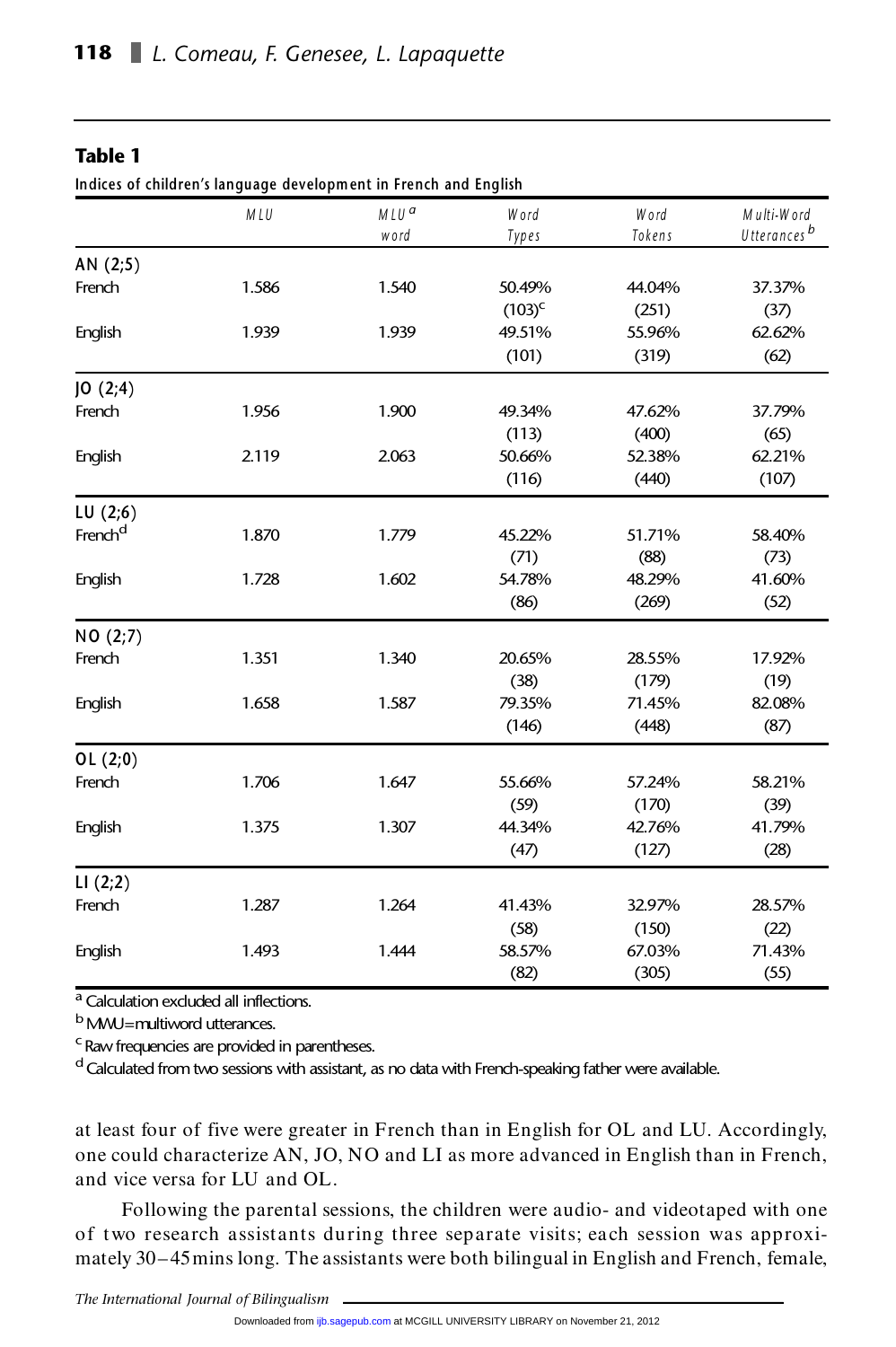#### **Table 1**

**Indices of children's language developm ent in French and English**

| Indices of children's language development in French and English |       |                          |               |                |                                       |  |
|------------------------------------------------------------------|-------|--------------------------|---------------|----------------|---------------------------------------|--|
|                                                                  | MLU   | MLU <sup>a</sup><br>word | Word<br>Types | Word<br>Tokens | Multi-Word<br>Utterances <sup>b</sup> |  |
| AN (2;5)                                                         |       |                          |               |                |                                       |  |
| French                                                           | 1.586 | 1.540                    | 50.49%        | 44.04%         | 37.37%                                |  |
|                                                                  |       |                          | $(103)^{c}$   | (251)          | (37)                                  |  |
| English                                                          | 1.939 | 1.939                    | 49.51%        | 55.96%         | 62.62%                                |  |
|                                                                  |       |                          | (101)         | (319)          | (62)                                  |  |
| JO(2;4)                                                          |       |                          |               |                |                                       |  |
| French                                                           | 1.956 | 1.900                    | 49.34%        | 47.62%         | 37.79%                                |  |
|                                                                  |       |                          | (113)         | (400)          | (65)                                  |  |
| English                                                          | 2.119 | 2.063                    | 50.66%        | 52.38%         | 62.21%                                |  |
|                                                                  |       |                          | (116)         | (440)          | (107)                                 |  |
| LU(2;6)                                                          |       |                          |               |                |                                       |  |
| French <sup>d</sup>                                              | 1.870 | 1.779                    | 45.22%        | 51.71%         | 58.40%                                |  |
|                                                                  |       |                          | (71)          | (88)           | (73)                                  |  |
| English                                                          | 1.728 | 1.602                    | 54.78%        | 48.29%         | 41.60%                                |  |
|                                                                  |       |                          | (86)          | (269)          | (52)                                  |  |
| NO (2;7)                                                         |       |                          |               |                |                                       |  |
| French                                                           | 1.351 | 1.340                    | 20.65%        | 28.55%         | 17.92%                                |  |
|                                                                  |       |                          | (38)          | (179)          | (19)                                  |  |
| English                                                          | 1.658 | 1.587                    | 79.35%        | 71.45%         | 82.08%                                |  |
|                                                                  |       |                          | (146)         | (448)          | (87)                                  |  |
| OL(2;0)                                                          |       |                          |               |                |                                       |  |
| French                                                           | 1.706 | 1.647                    | 55.66%        | 57.24%         | 58.21%                                |  |
|                                                                  |       |                          | (59)          | (170)          | (39)                                  |  |
| English                                                          | 1.375 | 1.307                    | 44.34%        | 42.76%         | 41.79%                                |  |
|                                                                  |       |                          | (47)          | (127)          | (28)                                  |  |
| LI(2;2)                                                          |       |                          |               |                |                                       |  |
| French                                                           | 1.287 | 1.264                    | 41.43%        | 32.97%         | 28.57%                                |  |
|                                                                  |       |                          | (58)          | (150)          | (22)                                  |  |
| English                                                          | 1.493 | 1.444                    | 58.57%        | 67.03%         | 71.43%                                |  |
|                                                                  |       |                          | (82)          | (305)          | (55)                                  |  |

a Calculation excluded all inflections.

b MMU=multiword utterances.

c Raw frequencies are provided in parentheses.

<sup>d</sup> Calculated from two sessions with assistant, as no data with French-speaking father were available.

at least four of five were greater in French than in English for OL and LU. Accordingly, at least four of five were greater in French than in English for OL and LU. Accordingly,<br>one could characterize AN, JO, NO and LI as more advanced in English than in French, at least four of five were greater<br>one could characterize AN, JO, l<br>and vice versa for LU and OL. and vice versa for LU and OL.<br>Following the parental sessions, the children were audio- and videotaped with one

and vice versa for LU and OL.<br>
Following the parental sessions, the children were audio- and videotaped with one<br>
of two research assistants during three separate visits; each session was approxi-<br>
metals 20.45 minutes The Following the parental sessions, the children were audio- and videotaped with one<br>of two research assistants during three separate visits; each session was approxi-<br>mately 30–45mins long. The assistants were both bilingual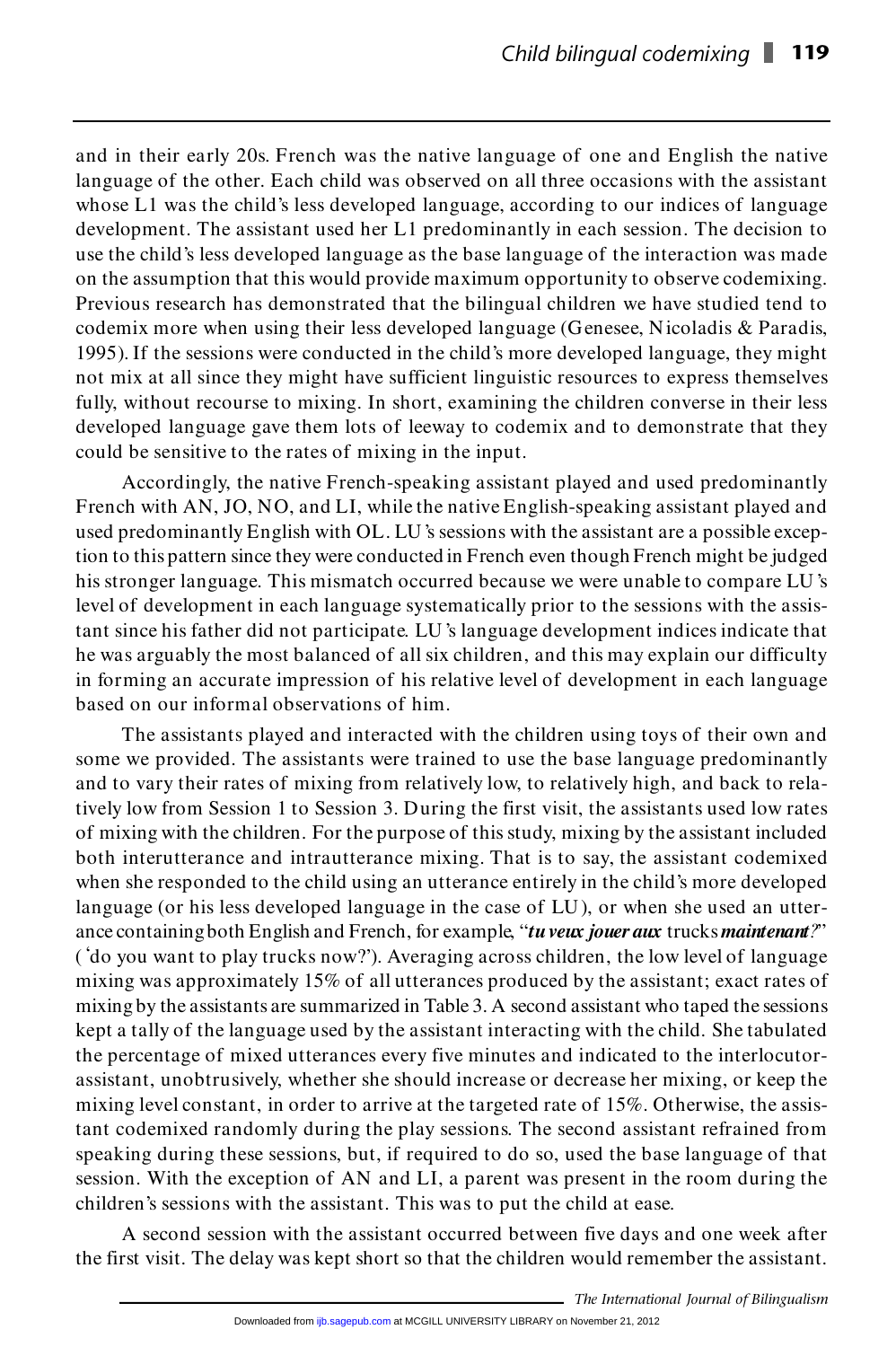and in their early 20s. French was the native language of one and English the native and in their early 20s. French was the native language of one and English the native language of the other. Each child was observed on all three occasions with the assistant whose I I was the objected best developed langua and in their early 20s. French was the native language of one and English the native language of the other. Each child was observed on all three occasions with the assistant whose L1 was the child's less developed language whose L1 was the child's less developed language, according to our indices of language development. The assistant used her L1 predominantly in each session. The decision to use the child's less developed language as the base language of the interaction was made on the assumption that this would provide maximum opportunity to observe codemixing. Previous research has demonstrated that the bilingual children we have studied tend to on the assumption that this would provide maximum opportunity to observe codemixing.<br>Previous research has demonstrated that the bilingual children we have studied tend to codemix more when using their less developed langu Previous research has demonstrated that the bilingual children we have studied tend to codemix more when using their less developed language (Genesee, Nicoladis & Paradis, 1995). If the sessions were conducted in the child not mix at all since they might have sufficient linguistic resources to express themselves 1995). If the sessions were conducted in the child's more developed language, they might<br>not mix at all since they might have sufficient linguistic resources to express themselves<br>fully, without recourse to mixing. In shor fully, without recourse to mixing. In short, examining the children converse in their less developed language gave them lots of leeway to codemix and to demonstrate that they could be sensitive to the rates of mixing in the input.

Accordingly, the native French-speaking assistant played and used predominantly French with AN, JO, NO, and LI, while the native English-speaking assistant played and used predominantly English with OL. LU 's sessions with the assistant are a possible exception to this pattern since they were conducted in French even though French might be judged used predominantly English with OL. LU's sessions with the assistant are a possible exception to this pattern since they were conducted in French even though French might be judged his stronger language. This mismatch occu tion to this pattern since they were conducted in French even though French might be judged<br>his stronger language. This mismatch occurred because we were unable to compare LU's<br>level of development in each language systema his stronger language. This mismatch occurred because we were unable to compare LU's level of development in each language systematically prior to the sessions with the assistant since his father did not participate. LU's he well of development in each language systematically prior to the sessions with the assistant since his father did not participate. LU's language development indices indicate that the was arguably the most balanced of al tant since his father did not participate. LU's language development indices indicate that<br>he was arguably the most balanced of all six children, and this may explain our difficulty<br>in forming an accurate impression of his he was arguably the most balanced of all six cl<br>in forming an accurate impression of his relat<br>based on our informal observations of him. in forming an accurate impression of his relative level of development in each language<br>based on our informal observations of him.<br>The assistants played and interacted with the children using toys of their own and

based on our informal observations of him.<br>The assistants played and interacted with the children using toys of their own and<br>some we provided. The assistants were trained to use the base language predominantly<br>and to use The assistants played and interacted with the children using toys of their own and<br>some we provided. The assistants were trained to use the base language predominantly<br>and to vary their rates of mixing from relatively low, some we provided. The assistants were trained to use the base language predominantly<br>and to vary their rates of mixing from relatively low, to relatively high, and back to rela-<br>tively low from Session 1 to Session 3. Duri and to vary their rates of mixing from relatively low, to relatively high, and back to rela-<br>tively low from Session 1 to Session 3. During the first visit, the assistants used low rates<br>of mixing with the children. For th tively low from Session 1 to Session 3. During the first visit, the assistants used low rates<br>of mixing with the children. For the purpose of this study, mixing by the assistant included<br>both interutterance and intrauttera when she responded to the child using an utterance entirely in the child's more developed<br>language (or his less developed language in the case of LU), or when she used an utter-<br>ance containing both English and French, for both interutterance and intrautterance mixing. That is to say, the assistant codemixed<br>when she responded to the child using an utterance entirely in the child's more developed<br>language (or his less developed language in t language (or his less developed language in the case of LU), or when she used an utter-<br>ance containing both English and French, for example, "*tu veux jouer aux* trucks *maintenant?*"<br>('do you want to play trucks now?'). ance containing both English and French, for example, "tu veux jouer aux trucks maintenant?"<br>('do you want to play trucks now?'). Averaging across children, the low level of language<br>mixing was approximately 15% of all utt ('do you want to play trucks now?'). Averaging across children, the low level of language<br>mixing was approximately 15% of all utterances produced by the assistant; exact rates of<br>mixing by the assistants are summarized in mixing was approximately 15% of all utterances produced by the assistant; exact rates of<br>mixing by the assistants are summarized in Table 3. A second assistant who taped the sessions<br>kept a tally of the language used by th mixing by the assistants are summarized in Table 3. A second assistant who taped the sessions<br>kept a tally of the language used by the assistant interacting with the child. She tabulated<br>the percentage of mixed utterances kept a tally of the language used by the assistant interacting with the child. She tabulated<br>the percentage of mixed utterances every five minutes and indicated to the interlocutor-<br>assistant, unobtrusively, whether she sh the percentage of mixed utterances every five minutes and indicated to the interlocutor-<br>assistant, unobtrusively, whether she should increase or decrease her mixing, or keep the<br>mixing level constant, in order to arrive a mixing level constant, in order to arrive at the targeted rate of 15%. Otherwise, the assismixing level constant, in order to arrive at the targeted rate of 15%. Otherwise, the assistant codemixed randomly during the play sessions. The second assistant refrained from speaking during these sessions, but, if requi tant codemixed randomly during the play sessions. The second assistant refrained from<br>speaking during these sessions, but, if required to do so, used the base language of that<br>session. With the exception of AN and LI, a pa session. With the exception of AN and LI, a parent was present in the room during the children's sessions with the assistant. This was to put the child at ease.

A second session with the assistant occurred between five days and one week after children's sessions with the assistant. This was to put the child at ease.<br>A second session with the assistant occurred between five days and one week after<br>the first visit. The delay was kept short so that the children wo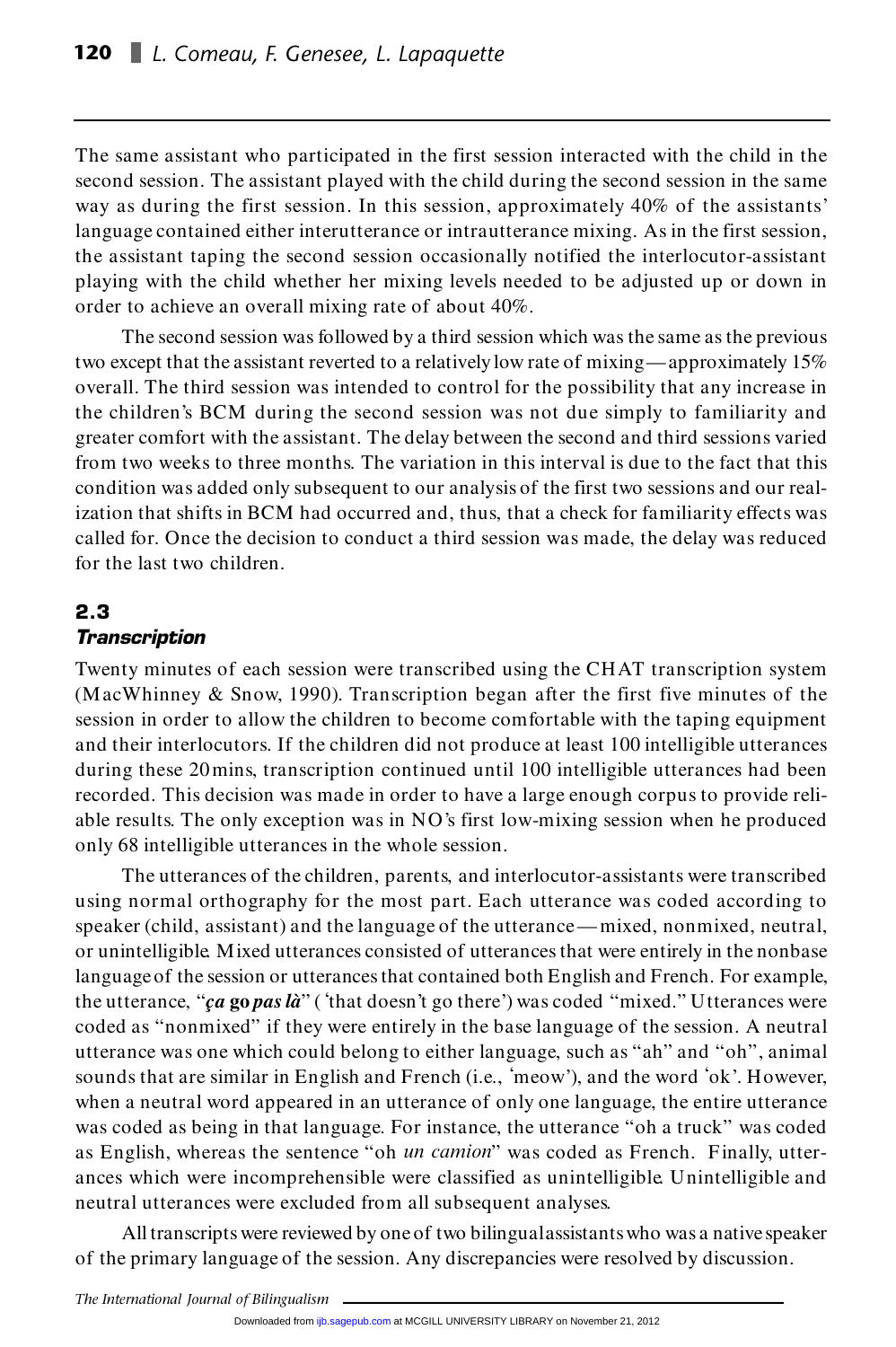The same assistant who participated in the first session interacted with the child in the The same assistant who participated in the first session interacted with the child in the second session. The assistant played with the child during the second session in the same way as design the first assistant  $\frac{1}{2$ The same assistant who participated in the first session interacted with the child in the second session. The assistant played with the child during the second session in the same way as during the first session. In this s way as during the first session. In this session, approximately 40% of the assistants' language contained either interutterance or intrautterance mixing. As in the first session, the assistant taping the second session occasionally notified the interlocutor-assistant playing with the child whether her mixing levels needed to be adjusted up or down in the assistant taping the second session occasionally no<br>playing with the child whether her mixing levels neede<br>order to achieve an overall mixing rate of about 40%.

The second session was followed by a third session which was the same as the previous order to achieve an overall mixing rate of about 40%.<br>The second session was followed by a third session which was the same as the previous<br>two except that the assistant reverted to a relatively low rate of mixing—approxim The second session was followed by a third session which was the same as the previous<br>two except that the assistant reverted to a relatively low rate of mixing—approximately 15%<br>overall. The third session was intended to c two except that the assistant reverted to a relatively low rate of mixing—approximately 15%<br>overall. The third session was intended to control for the possibility that any increase in<br>the children's BCM during the second s overall. The third session was intended to control for the possibility that any increase in<br>the children's BCM during the second session was not due simply to familiarity and<br>greater comfort with the assistant. The delay b the children's BCM during the second session was not due simply to familiarity and<br>greater comfort with the assistant. The delay between the second and third sessions varied<br>from two weeks to three months. The variation in greater comfort with the assistant. The delay between the second and third sessions varied<br>from two weeks to three months. The variation in this interval is due to the fact that this<br>condition was added only subsequent to from two weeks to three months. The variation in this interval is due to the fact that this<br>condition was added only subsequent to our analysis of the first two sessions and our real-<br>ization that shifts in BCM had occurre condition was added only subsequent to our analysis of the first two sessions and our real-<br>ization that shifts in BCM had occurred and, thus, that a check for familiarity effects was<br>called for. Once the decision to condu for the last two children.

#### **2.3** *Transcription*

2.3<br>Transcription<br>Twenty minutes of each session were transcribed using the CHAT transcription system **Transcription**<br>Twenty minutes of each session were transcribed using the CHAT transcription system<br>(MacWhinney & Snow, 1990). Transcription began after the first five minutes of the session in order to allow the children to become comfortable with the taping equipment (MacWhinney & Snow, 1990). Transcription began after the first five minutes of the session in order to allow the children to become comfortable with the taping equipment and their interlocutors. If the children did not pr session in order to allow the children to become comfortable with the taping equipment<br>and their interlocutors. If the children did not produce at least 100 intelligible utterances<br>during these 20 mins, transcription conti and their interlocutors. If the children did not produce at least 100 intelligible utterances<br>during these 20 mins, transcription continued until 100 intelligible utterances had been<br>recorded. This decision was made in ord during these 20 mins, transcription continued until 100 intelligible utterances had been<br>recorded. This decision was made in order to have a large enough corpus to provide reli-<br>able results. The only exception was in NO's recorded. This decision was made in order to have a<br>able results. The only exception was in NO's first lov<br>only 68 intelligible utterances in the whole session. only 68 intelligible utterances in the whole session.<br>The utterances of the children, parents, and interlocutor-assistants were transcribed

only 68 intelligible utterances in the whole session.<br>The utterances of the children, parents, and interlocutor-assistants were transcribed<br>using normal orthography for the most part. Each utterance was coded according to The utterances of the children, parents, and interlocutor-assistants were transcribed<br>using normal orthography for the most part. Each utterance was coded according to<br>speaker (child, assistant) and the language of the utt using normal orthography for the most part. Each utterance was coded according to<br>speaker (child, assistant) and the language of the utterance—mixed, nonmixed, neutral,<br>or unintelligible. Mixed utterances consisted of utte speaker (child, assistant) and the language of the utterance—mixed, nonmixed, neutral,<br>or unintelligible. Mixed utterances consisted of utterances that were entirely in the nonbase<br>language of the session or utterances tha or unintelligible Mixed utterances consisted of utterances that were entirely in the nonbase<br>language of the session or utterances that contained both English and French. For example,<br>the utterance, "*ça* **go** *pas là*" (' language of the session or utterances that contained both English and French. For example,<br>the utterance, "*ca* **go** *pas là*" ('that doesn't go there') was coded "mixed." Utterances were<br>coded as "nonmixed" if they were e the utterance, " $ca$  go pas  $l\hat{a}$ " ('that doesn't go there') was coded "mixed." Utterances were coded as "nonmixed" if they were entirely in the base language of the session. A neutral utterance was one which could belo coded as "nonmixed" if they were entirely in the base language of the session. A neutral<br>utterance was one which could belong to either language, such as "ah" and "oh", animal<br>sounds that are similar in English and French utterance was one which could belong to either language, such as "ah" and "oh", animal<br>sounds that are similar in English and French (i.e., 'meow'), and the word 'ok'. However,<br>when a neutral word appeared in an utterance sounds that are similar in English and French (i.e., 'meow'), and the word 'ok'. However,<br>when a neutral word appeared in an utterance of only one language, the entire utterance<br>was coded as being in that language. For ins when a neutral word appeared in an utterance of only one language, the entire utterance was coded as being in that language. For instance, the utterance "oh a truck" was coded as English, whereas the sentence "oh *un camio* as English, whereas the sentence "oh *un camion*" was coded as French. Finally, utterances which were incomprehensible were classified as unintelligible. Unintelligible and neutral utterances were excluded from all subsequent analyses.

All transcripts were reviewed by one of two bilingual assistants who was a native speaker of the primary language of the session. Any discrepancies were resolved by discussion.

*The International Journal of Bilingualism*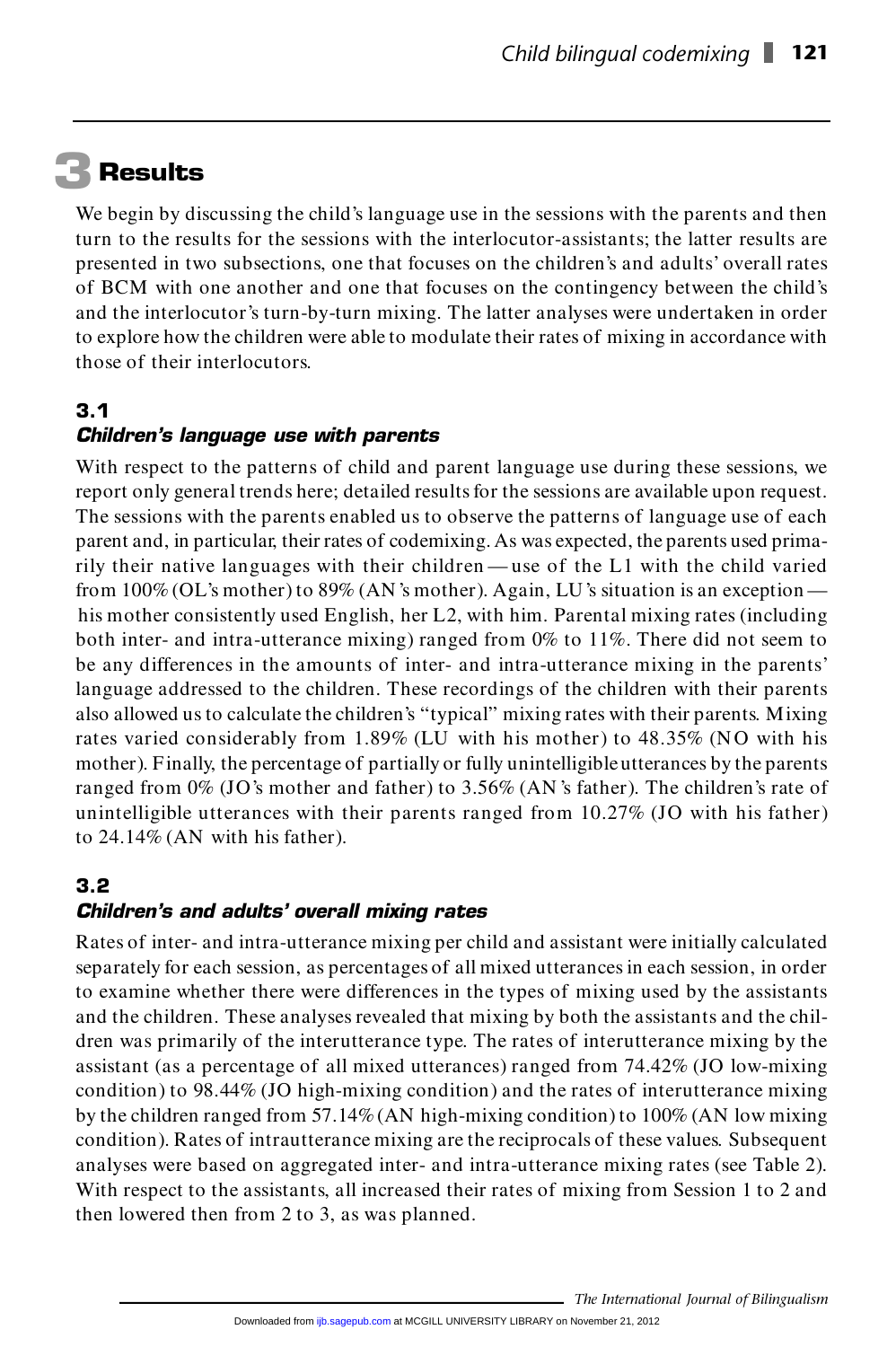## **3 Results**

We begin by discussing the child's language use in the sessions with the parents and then We begin by discussing the child's language use in the sessions with the parents and then<br>turn to the results for the sessions with the interlocutor-assistants; the latter results are<br>necessated in two subsections, and tha We begin by discussing the child's language use in the sessions with the parents and then<br>turn to the results for the sessions with the interlocutor-assistants; the latter results are<br>presented in two subsections, one that turn to the results for the sessions with the interlocutor-assistants; the latter results are<br>presented in two subsections, one that focuses on the children's and adults' overall rates<br>of BCM with one another and one that presented in two subsections, one that focuses on the children's and adults' overall rates<br>of BCM with one another and one that focuses on the contingency between the child's<br>and the interlocutor's turn-by-turn mixing. The of BCM with one another and one that focuses on the contingency between the child's<br>and the interlocutor's turn-by-turn mixing. The latter analyses were undertaken in order<br>to explore how the children were able to modulate to explore how the children were able to modulate their rates of mixing in accordance with those of their interlocutors.

#### **3.1**

#### *Children's language use with parents*

**3.1**<br>**Children's language use with parents**<br>With respect to the patterns of child and parent language use during these sessions, we<br>were the began and there delenged the illed parel for the conjune are explicitly prop pro **Children's language use with parents**<br>With respect to the patterns of child and parent language use during these sessions, we<br>report only general trends here; detailed results for the sessions are available upon request.<br> With respect to the patterns of child and parent language use during these sessions, we<br>report only general trends here; detailed results for the sessions are available upon request.<br>The sessions with the parents enabled u report only general trends here; detailed results for the sessions are available upon request.<br>The sessions with the parents enabled us to observe the patterns of language use of each<br>parent and, in particular, their rates The sessions with the parents enabled us to observe the patterns of language use of each<br>parent and, in particular, their rates of codemixing. As was expected, the parents used prima-<br>rily their native languages with thei parent and, in particular, their rates of codemixing. As was expected, the parents used prima-<br>rily their native languages with their children—use of the L1 with the child varied<br>from 100% (OL's mother) to 89% (AN 's mothe his mother and their children — use of the L1 with the child varied<br>from 100% (OL's mother) to 89% (AN's mother). Again, LU's situation is an exception —<br>his mother consistently used English, her L2, with him. Parental mix from 100% (OL's mother) to 89% (AN's mother). Again, LU's situation is an exception—<br>his mother consistently used English, her L2, with him. Parental mixing rates (including<br>both inter- and intra-utterance mixing) ranged f his mother consistently used English, her L2, with him. Parental mixing rates (including<br>both inter- and intra-utterance mixing) ranged from 0% to 11%. There did not seem to<br>be any differences in the amounts of inter- and both inter- and intra-utterance mixing) ranged from 0% to 11%. There did not seem to<br>be any differences in the amounts of inter- and intra-utterance mixing in the parents'<br>language addressed to the children. These recordin be any differences in the amounts of inter- and intra-utterance mixing in the parents'<br>language addressed to the children. These recordings of the children with their parents.<br>also allowed us to calculate the children's "t language addressed to the children. These recordings of the children with their parents<br>also allowed us to calculate the children's "typical" mixing rates with their parents. Mixing<br>rates varied considerably from 1.89% (LU also allowed us to calculate the children's "typical" mixing rates with their parents. Mixing<br>rates varied considerably from 1.89% (LU with his mother) to 48.35% (NO with his<br>mother). Finally, the percentage of partially o rates varied considerably from 1.89% (LU with his mother) to 48.35% (NO with his mother). Finally, the percentage of partially or fully unintelligible utterances by the parents ranged from  $0\%$  (JO's mother and father) t mother). Finally, the percentage of partially or fully unintelligible utterances by the parents ranged from  $0\%$  (JO's mother and father) to 3.56% (AN's father). The children's rate of unintelligible utterances with thei ranged from  $0\%$  (JO's mother and father) to 3.56% (AN's father). The children's rate of

#### **3.2** *Children's and adults' overall mixing rates*

3.2<br>Children's and adults' overall mixing rates<br>Rates of inter- and intra-utterance mixing per child and assistant were initially calculated **Children's and adults' overall mixing rates**<br>Rates of inter- and intra-utterance mixing per child and assistant were initially calculated<br>separately for each session, as percentages of all mixed utterances in each session Rates of inter- and intra-utterance mixing per child and assistant were initially calculated<br>separately for each session, as percentages of all mixed utterances in each session, in order<br>to examine whether there were diffe separately for each session, as percentages of all mixed utterances in each session, in order<br>to examine whether there were differences in the types of mixing used by the assistants<br>and the children. These analyses reveale to examine whether there were differences in the types of mixing used by the assistants<br>and the children. These analyses revealed that mixing by both the assistants and the chil-<br>dren was primarily of the interutterance ty and the children. These analyses revealed that mixing by both the assistants and the children was primarily of the interutterance type. The rates of interutterance mixing by the assistant (as a percentage of all mixed utterances) ranged from  $74.42\%$  (JO low-mixing condition) to 98.44% (JO high-mixing condition) and the rates of interutterance mixing<br>by the children ranged from 57.14% (AN high-mixing condition) to 100% (AN low mixing<br>condition). Rates of intrautterance mixing are the by the children ranged from 57.14% (AN high-mixing condition) to 100% (AN low mixing condition). Rates of intrautterance mixing are the reciprocals of these values. Subsequent analyses were based on aggregated inter- and i condition). Rates of intrautterance mixing are the reciprocals of these values. Subsequent then lowered then from 2 to 3, as was planned.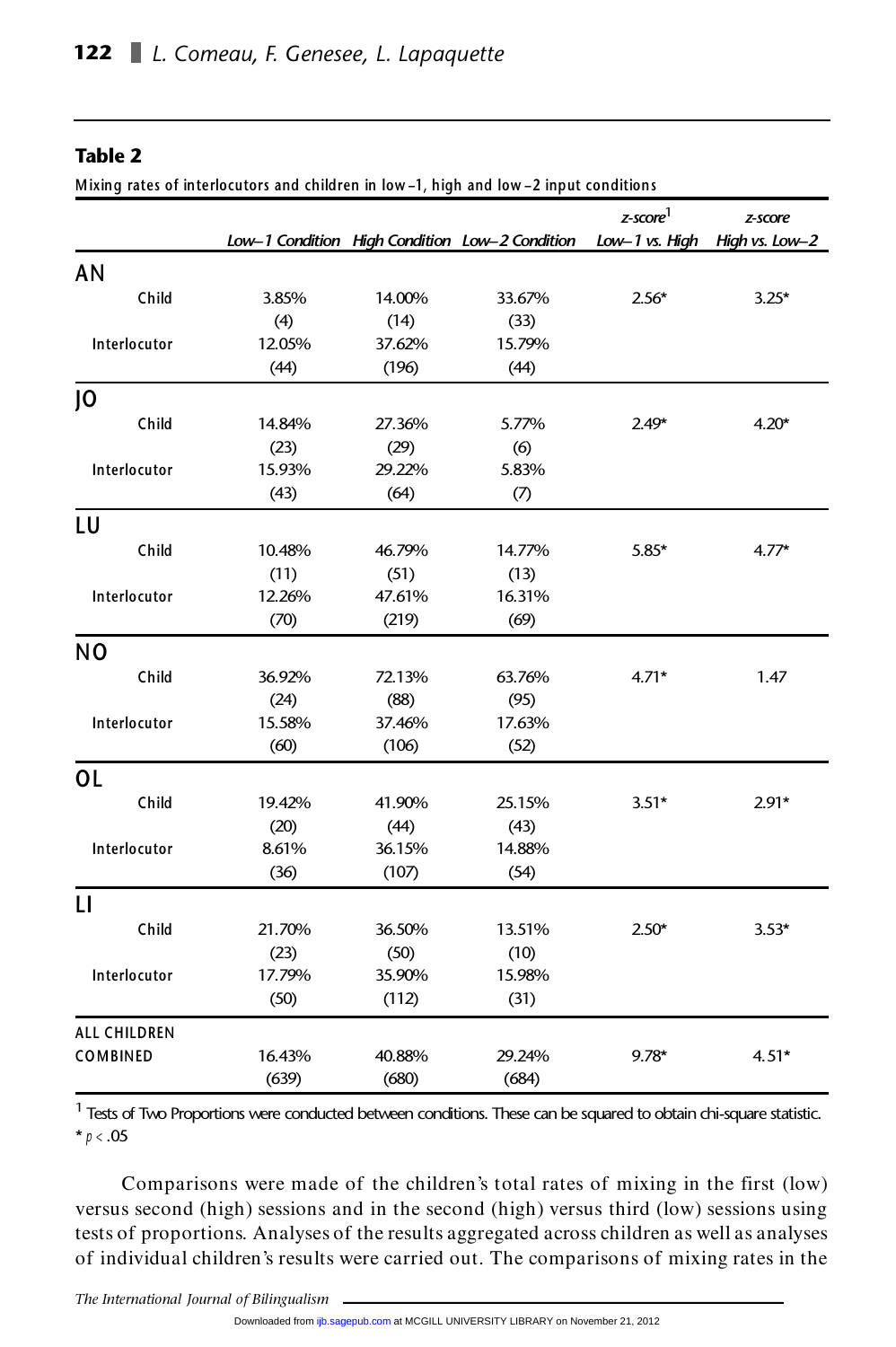#### **Table 2**

**M ixing rates of interlocutors and children in low –1, high and low –2 input conditions**

|                     |        |        |                                                | $z$ -score <sup>1</sup> | z-score        |
|---------------------|--------|--------|------------------------------------------------|-------------------------|----------------|
|                     |        |        | Low-1 Condition High Condition Low-2 Condition | Low-1 vs. High          | High vs. Low-2 |
| <b>AN</b>           |        |        |                                                |                         |                |
| Child               | 3.85%  | 14.00% | 33.67%                                         | $2.56*$                 | $3.25*$        |
|                     | (4)    | (14)   | (33)                                           |                         |                |
| Interlocutor        | 12.05% | 37.62% | 15.79%                                         |                         |                |
|                     | (44)   | (196)  | (44)                                           |                         |                |
| 0                   |        |        |                                                |                         |                |
| Child               | 14.84% | 27.36% | 5.77%                                          | 2.49*                   | $4.20*$        |
|                     | (23)   | (29)   | (6)                                            |                         |                |
| Interlocutor        | 15.93% | 29.22% | 5.83%                                          |                         |                |
|                     | (43)   | (64)   | (7)                                            |                         |                |
| LU                  |        |        |                                                |                         |                |
| Child               | 10.48% | 46.79% | 14.77%                                         | $5.85*$                 | $4.77*$        |
|                     | (11)   | (51)   | (13)                                           |                         |                |
| Interlocutor        | 12.26% | 47.61% | 16.31%                                         |                         |                |
|                     | (70)   | (219)  | (69)                                           |                         |                |
| N <sub>O</sub>      |        |        |                                                |                         |                |
| Child               | 36.92% | 72.13% | 63.76%                                         | $4.71*$                 | 1.47           |
|                     | (24)   | (88)   | (95)                                           |                         |                |
| Interlocutor        | 15.58% | 37.46% | 17.63%                                         |                         |                |
|                     | (60)   | (106)  | (52)                                           |                         |                |
| <b>OL</b>           |        |        |                                                |                         |                |
| Child               | 19.42% | 41.90% | 25.15%                                         | $3.51*$                 | $2.91*$        |
|                     | (20)   | (44)   | (43)                                           |                         |                |
| Interlocutor        | 8.61%  | 36.15% | 14.88%                                         |                         |                |
|                     | (36)   | (107)  | (54)                                           |                         |                |
| $\mathsf{L}$        |        |        |                                                |                         |                |
| Child               | 21.70% | 36.50% | 13.51%                                         | $2.50*$                 | $3.53*$        |
|                     | (23)   | (50)   | (10)                                           |                         |                |
| Interlocutor        | 17.79% | 35.90% | 15.98%                                         |                         |                |
|                     | (50)   | (112)  | (31)                                           |                         |                |
| <b>ALL CHILDREN</b> |        |        |                                                |                         |                |
| COMBINED            | 16.43% | 40.88% | 29.24%                                         | $9.78*$                 | $4.51*$        |
|                     | (639)  | (680)  | (684)                                          |                         |                |

(639) (680) (684)<br>
<sup>1</sup> Tests of Two Proportions were conducted between conditions. These can be squared to obtain chi-square statistic. 1 Tests of Tw<br>\*  $p < .05$ 

\* $p < .05$ <br>Comparisons were made of the children's total rates of mixing in the first (low) versus second (high) sessions and in the second (high) versus third (low) sessions using Comparisons were made of the children's total rates of mixing in the first (low)<br>versus second (high) sessions and in the second (high) versus third (low) sessions using<br>tests of proportions. Analyses of the results aggreg versus second (high) sessions and in the second (high) versus third (low) sessions using<br>tests of proportions. Analyses of the results aggregated across children as well as analyses<br>of individual children's results were ca

*The International Journal of Bilingualism*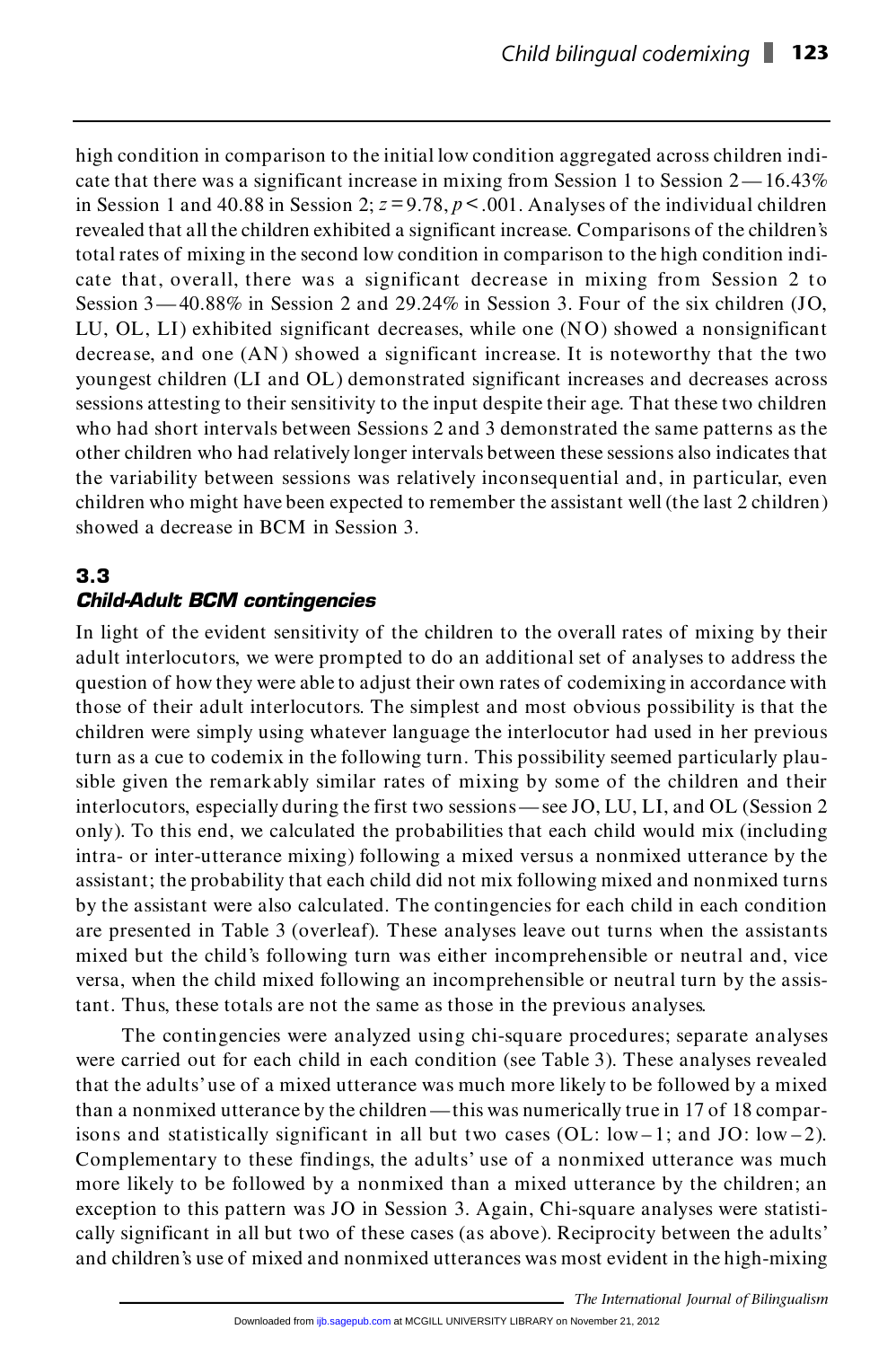high condition in comparison to the initial low condition aggregated across children indicate that there was a significant increase in mixing from Session 1 to Session  $2 - 16.43\%$ high condition in comparison to the initial low condition aggregated across children indi-<br>cate that there was a significant increase in mixing from Session 1 to Session 2—16.43%<br>in Session 1 and 40.88 in Session 2;  $z = 9.$ cate that there was a significant increase in mixing from Session 1 to Session 2—16.43%<br>in Session 1 and 40.88 in Session 2;  $z = 9.78$ ,  $p < .001$ . Analyses of the individual children<br>revealed that all the children exhibite total rates of mixing in the second low condition in comparison to the high condition indi-<br>cate that, overall, there was a significant decrease in mixing from Session 2 to revealed that all the children exhibited a significant increase. Comparisons of the children's total rates of mixing in the second low condition in comparison to the high condition indicate that, overall, there was a significant decrease in mixing from Session 2 to Session 3 – 40.88% in Session 2 and 29.24% in Sessi cate that, overall, there was a significant decrease in mixing from Session 2 to<br>Session 3—40.88% in Session 2 and 29.24% in Session 3. Four of the six children (JO,<br>LU, OL, LI) exhibited significant decreases, while one ( Session 3—40.88% in Session 2 and 29.24% in Session 3. Four of the six children (JO, LU, OL, LI) exhibited significant decreases, while one (NO) showed a nonsignificant decrease, and one (AN) showed a significant increase youngest children (LI and OL) demonstrated significant increases and decreases across decrease, and one (AN) showed a significant increase. It is noteworthy that the two<br>youngest children (LI and OL) demonstrated significant increases and decreases across<br>sessions attesting to their sensitivity to the input who had short intervals between Sessions 2 and 3 demonstrated the same patterns as the other children who had relatively longer intervals between these sessions also indicates that the variability between sessions was rela other children who had relatively longer intervals between these sessions also indicates that children who might have been expected to remember the assistant well (the last 2 children) showed a decrease in BCM in Session 3.

#### **3.3** *Child-Adult BCM contingencies*

In light of the evident sensitivity of the children to the overall rates of mixing by their **Child-Adult BCM contingencies**<br>In light of the evident sensitivity of the children to the overall rates of mixing by their<br>adult interlocutors, we were prompted to do an additional set of analyses to address the<br>distribut In light of the evident sensitivity of the children to the overall rates of mixing by their<br>adult interlocutors, we were prompted to do an additional set of analyses to address the<br>question of how they were able to adjust adult interlocutors, we were prompted to do an additional set of analyses to address the<br>question of how they were able to adjust their own rates of codemixing in accordance with<br>those of their adult interlocutors. The sim children were simply using whatever language the interlocutor had used in her previous those of their adult interlocutors. The simplest and most obvious possibility is that the children were simply using whatever language the interlocutor had used in her previous turn as a cue to codemix in the following tur children were simply using whatever language the interlocutor had used in her previous<br>turn as a cue to codemix in the following turn. This possibility seemed particularly plau-<br>sible given the remarkably similar rates of turn as a cue to codemix in the following turn. This possibility seemed particularly plau-<br>sible given the remarkably similar rates of mixing by some of the children and their<br>interlocutors, especially during the first two sible given the remarkably similar rates of mixing by some of the children and their<br>interlocutors, especially during the first two sessions—see JO, LU, LI, and OL (Session 2<br>only). To this end, we calculated the probabili intra- or inter-utterance mixing) following a mixed versus a nonmixed utterance by the only). To this end, we calculated the probabilities that each child would mix (including intra- or inter-utterance mixing) following a mixed versus a nonmixed utterance by the assistant; the probability that each child did intra- or inter-utterance mixing) following a mixed versus a nonmixed utterance by the assistant; the probability that each child did not mix following mixed and nonmixed turns by the assistant were also calculated. The co assistant; the probability that each child did not mix following mixed and nonmixed turns<br>by the assistant were also calculated. The contingencies for each child in each condition<br>are presented in Table 3 (overleaf). These by the assistant were also calculated. The contingencies for each child in each condition<br>are presented in Table 3 (overleaf). These analyses leave out turns when the assistants<br>mixed but the child's following turn was eit are presented in Table 3 (overleaf). These analyses leave out turns when the assistants<br>mixed but the child's following turn was either incomprehensible or neutral and, vice<br>versa, when the child mixed following an incompr mixed but the child's following turn was either incomprehensible or neutral<br>versa, when the child mixed following an incomprehensible or neutral turn<br>tant. Thus, these totals are not the same as those in the previous analy versa, when the child mixed following an incomprehensible or neutral turn by the assistant. Thus, these totals are not the same as those in the previous analyses.<br>The contingencies were analyzed using chi-square procedures

tant. Thus, these totals are not the same as those in the previous analyses.<br>The contingencies were analyzed using chi-square procedures; separate analyses were carried out for each child in each condition (see Table 3). T The contingencies were analyzed using chi-square procedures; separate analyses<br>were carried out for each child in each condition (see Table 3). These analyses revealed<br>that the adults' use of a mixed utterance was much mor were carried out for each child in each condition (see Table 3). These analyses revealed<br>that the adults' use of a mixed utterance was much more likely to be followed by a mixed<br>than a nonmixed utterance by the children —t that the adults' use of a mixed utterance was much more likely to be followed by a mixed<br>than a nonmixed utterance by the children—this was numerically true in 17 of 18 compar-<br>isons and statistically significant in all b than a nonmixed utterance by the children—this was numerically true in 17 of 18 comparisons and statistically significant in all but two cases (OL:  $low-1$ ; and JO:  $low-2$ ).<br>Complementary to these findings, the adults' use o isons and statistically significant in all but two cases (OL:  $low-1$ ; and JO:  $low-2$ ).<br>Complementary to these findings, the adults' use of a nonmixed utterance was much<br>more likely to be followed by a nonmixed than a mixed Complementary to these findings, the adults' use of a nonmixed utterance was much<br>more likely to be followed by a nonmixed than a mixed utterance by the children; an<br>exception to this pattern was JO in Session 3. Again, Ch more likely to be followed by a nonmixed than a mixed utterance by the children; an exception to this pattern was JO in Session 3. Again, Chi-square analyses were statistically significant in all but two of these cases (as exception to this pattern was JO in Session 3. Again, Chi-square analyses were statistically significant in all but two of these cases (as above). Reciprocity between the adults'<br>and children's use of mixed and nonmixed ut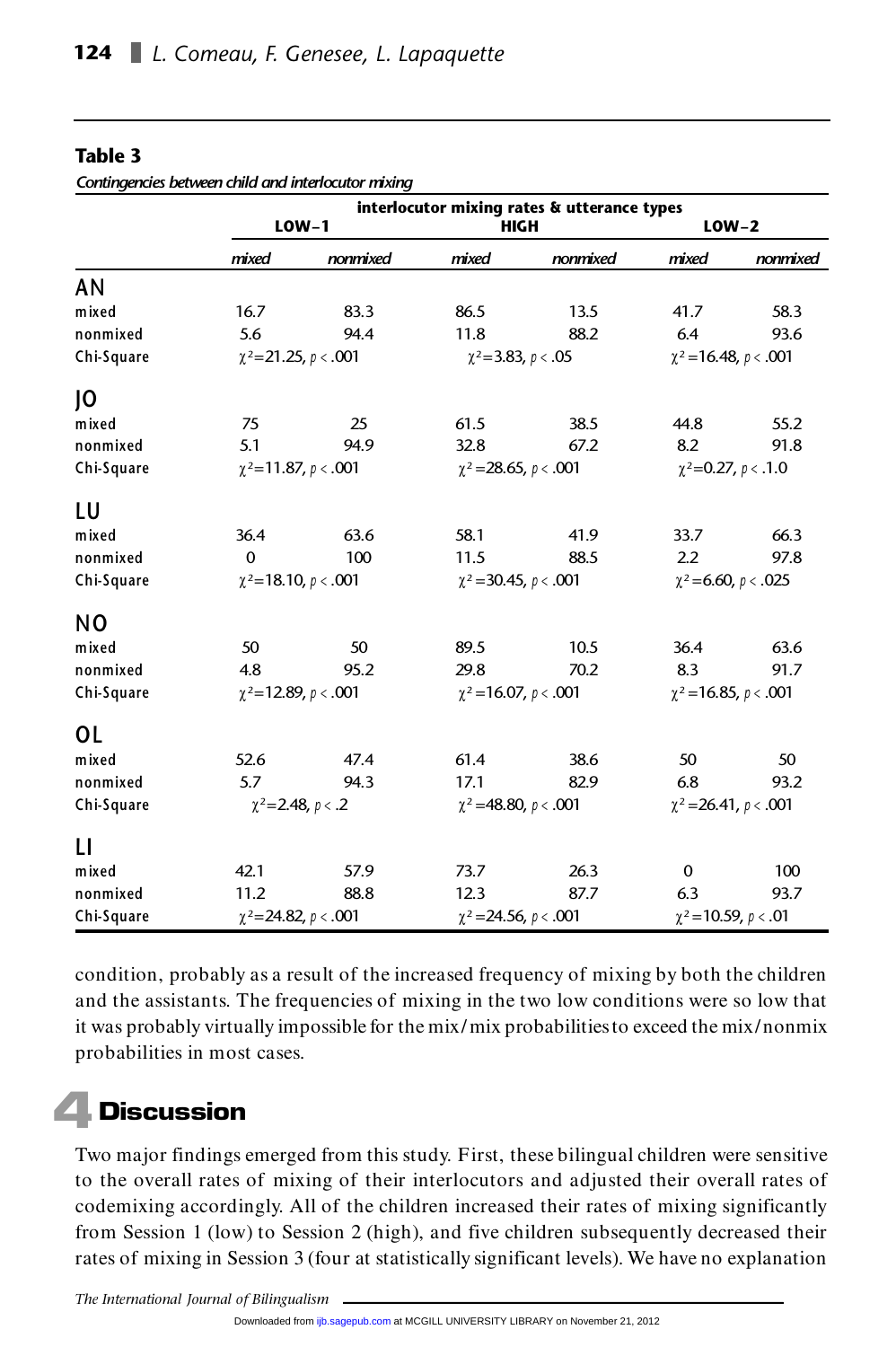| Contingencies between child and interlocutor mixing |                                             |                           |                            |                              |                              |                          |  |  |
|-----------------------------------------------------|---------------------------------------------|---------------------------|----------------------------|------------------------------|------------------------------|--------------------------|--|--|
|                                                     | interlocutor mixing rates & utterance types |                           |                            |                              |                              |                          |  |  |
|                                                     | $LOW-1$                                     |                           | <b>HIGH</b>                |                              | $LOW-2$                      |                          |  |  |
|                                                     | mixed                                       | nonmixed                  | mixed                      | nonmixed                     | mixed                        | nonmixed                 |  |  |
| AN                                                  |                                             |                           |                            |                              |                              |                          |  |  |
| mixed                                               | 16.7                                        | 83.3                      | 86.5                       | 13.5                         | 41.7                         | 58.3                     |  |  |
| nonmixed                                            | 5.6                                         | 94.4                      | 11.8                       | 88.2                         | 6.4                          | 93.6                     |  |  |
| Chi-Square                                          | $\chi^2$ =21.25, p < .001                   |                           | $\chi^2$ =3.83, p < .05    |                              | $\chi^2$ = 16.48, p < .001   |                          |  |  |
| J0                                                  |                                             |                           |                            |                              |                              |                          |  |  |
| mixed                                               | 75                                          | 25                        | 61.5                       | 38.5                         | 44.8                         | 55.2                     |  |  |
| nonmixed                                            | 5.1                                         | 94.9                      | 32.8                       | 67.2                         | 8.2                          | 91.8                     |  |  |
| Chi-Square                                          | $\chi^2$ =11.87, p < .001                   |                           | $\chi^2$ = 28.65, p < .001 |                              | $\chi^2$ =0.27, p < .1.0     |                          |  |  |
| LU                                                  |                                             |                           |                            |                              |                              |                          |  |  |
| mixed                                               | 36.4                                        | 63.6                      | 58.1                       | 41.9                         | 33.7                         | 66.3                     |  |  |
| nonmixed                                            | $\Omega$                                    | 100                       | 11.5                       | 88.5                         | 2.2                          | 97.8                     |  |  |
| Chi-Square                                          |                                             | $\chi^2$ =18.10, p < .001 |                            | $\chi^2$ = 30.45, $p < .001$ |                              | $\chi^2$ =6.60, p < .025 |  |  |
| N <sub>0</sub>                                      |                                             |                           |                            |                              |                              |                          |  |  |
| mixed                                               | 50                                          | 50                        | 89.5                       | 10.5                         | 36.4                         | 63.6                     |  |  |
| nonmixed                                            | 4.8                                         | 95.2                      | 29.8                       | 70.2                         | 8.3                          | 91.7                     |  |  |
| Chi-Square                                          | $\chi^2$ =12.89, p < .001                   |                           | $\chi^2$ = 16.07, p < .001 |                              | $\chi^2$ = 16.85, $p < .001$ |                          |  |  |
| ΟL                                                  |                                             |                           |                            |                              |                              |                          |  |  |
| mixed                                               | 52.6                                        | 47.4                      | 61.4                       | 38.6                         | 50                           | 50                       |  |  |
| nonmixed                                            | 5.7                                         | 94.3                      | 17.1                       | 82.9                         | 6.8                          | 93.2                     |  |  |
| Chi-Square                                          | $\chi^2$ =2.48, p < .2                      |                           | $\chi^2$ =48.80, p < .001  |                              | $\chi^2$ = 26.41, p < .001   |                          |  |  |
| п                                                   |                                             |                           |                            |                              |                              |                          |  |  |
| mixed                                               | 42.1                                        | 57.9                      | 73.7                       | 26.3                         | 0                            | 100                      |  |  |
| nonmixed                                            | 11.2                                        | 88.8                      | 12.3                       | 87.7                         | 6.3                          | 93.7                     |  |  |
| Chi-Square                                          | $\chi^2$ =24.82, p < .001                   |                           | $\chi^2$ = 24.56, p < .001 |                              | $\chi^2$ = 10.59, p < .01    |                          |  |  |

**Table 3**

condition, probably as a result of the increased frequency of mixing by both the children condition, probably as a result of the increased frequency of mixing by both the children<br>and the assistants. The frequencies of mixing in the two low conditions were so low that condition, probably as a result of the increased frequency of mixing by both the children<br>and the assistants. The frequencies of mixing in the two low conditions were so low that<br>it was probably virtually impossible for th probabilities in most cases.

## **4 Discussion**

**Discussion**<br>Two major findings emerged from this study. First, these bilingual children were sensitive Two major findings emerged from this study. First, these bilingual children were sensitive<br>to the overall rates of mixing of their interlocutors and adjusted their overall rates of to the overall rates of mixing of their interlocutors and adjusted their overall rates of codemixing accordingly. All of the children increased their rates of mixing significantly<br>from Session 1 (low) to Session 2 (high), and five children subsequently decreased their<br>rates of mixing in Session 3 (four at stati from Session 1 (low) to Session 2 (high), and five children subsequently decreased their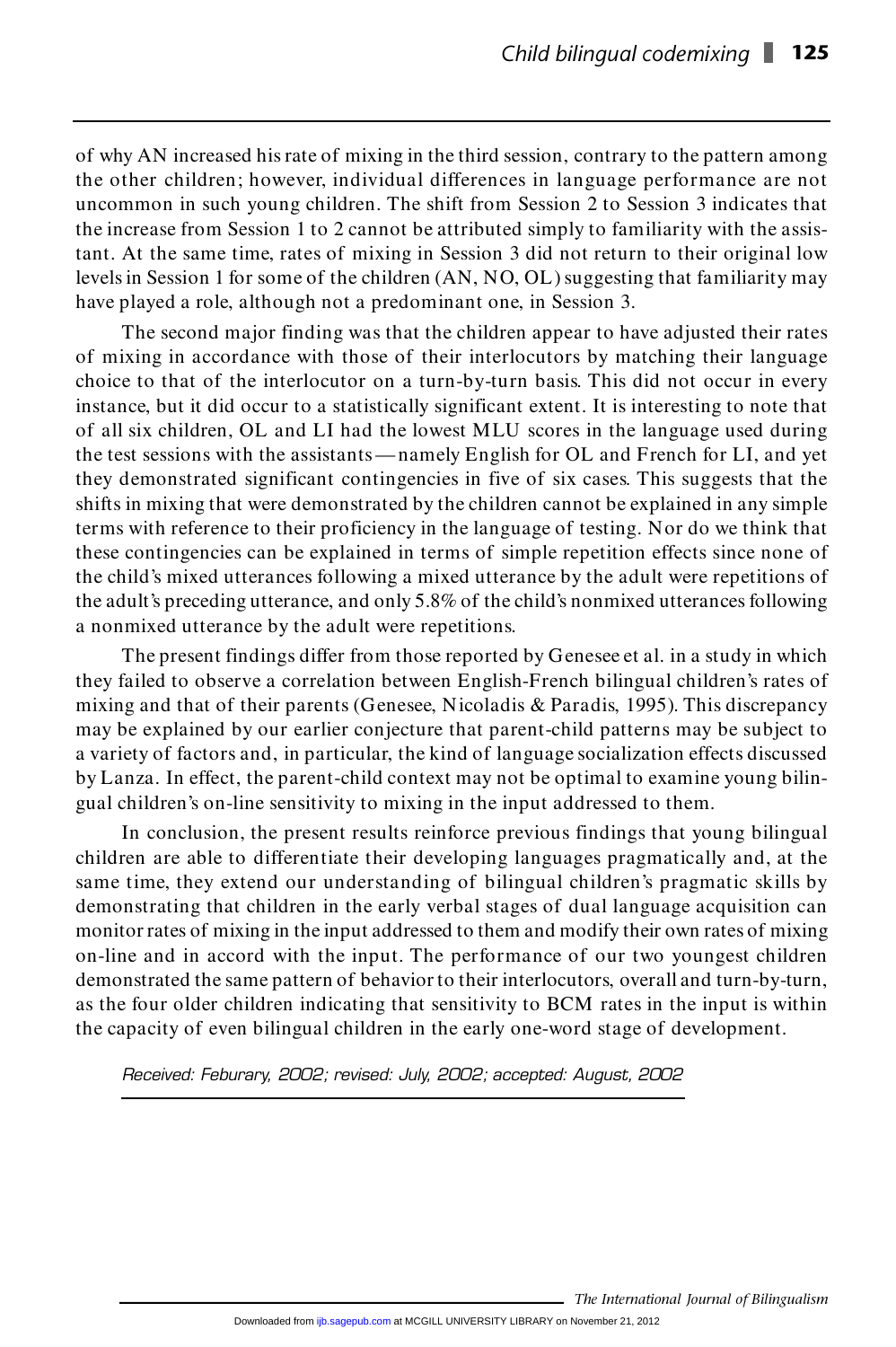of why AN increased his rate of mixing in the third session, contrary to the pattern among of why AN increased his rate of mixing in the third session, contrary to the pattern among<br>the other children; however, individual differences in language performance are not<br>uncommon in such young children. The chift from of why AN increased his rate of mixing in the third session, contrary to the pattern among<br>the other children; however, individual differences in language performance are not<br>uncommon in such young children. The shift from the increase from Session 1 to 2 cannot be attributed simply to familiarity with the assisuncommon in such young children. The shift from Session 2 to Session 3 indicates that<br>the increase from Session 1 to 2 cannot be attributed simply to familiarity with the assis-<br>tant. At the same time, rates of mixing in S the increase from Session 1 to 2 cannot be attributed simply to familiarity with the assistant. At the same time, rates of mixing in Session 3 did not return to their original low levels in Session 1 for some of the childr tant. At the same time, rates of mixing in Session 3 did not return<br>levels in Session 1 for some of the children (AN, NO, OL) suggesting<br>have played a role, although not a predominant one, in Session 3.

The second major finding was that the children appear to have adjusted their rates have played a role, although not a predominant one, in Session 3.<br>The second major finding was that the children appear to have adjusted their rates<br>of mixing in accordance with those of their interlocutors by matching the The second major finding was that the children appear to have adjusted their rates<br>of mixing in accordance with those of their interlocutors by matching their language<br>choice to that of the interlocutor on a turn-by-turn b of mixing in accordance with those of their interlocutors by matching their language<br>choice to that of the interlocutor on a turn-by-turn basis. This did not occur in every<br>instance, but it did occur to a statistically sig choice to that of the interlocutor on a turn-by-turn basis. This did not occur in every<br>instance, but it did occur to a statistically significant extent. It is interesting to note that<br>of all six children, OL and LI had th of all six children, OL and LI had the lowest MLU scores in the language used during of all six children, OL and LI had the lowest MLU scores in the language used during<br>the test sessions with the assistants—namely English for OL and French for LI, and yet<br>they demonstrated significant contingencies in fiv shifts in mixing that were demonstrated by the children cannot be explained in any simple they demonstrated significant contingencies in five of six cases. This suggests that the shifts in mixing that were demonstrated by the children cannot be explained in any simple terms with reference to their proficiency i terms with reference to their proficiency in the language of testing. Nor do we think that<br>these contingencies can be explained in terms of simple repetition effects since none of the child's mixed utterances following a mixed utterance by the adult were repetitions of these contingencies can be explained in terms of simple repetition effects since none of<br>the child's mixed utterances following a mixed utterance by the adult were repetitions of<br>the adult's preceding utterance, and only 5 a nonmixed utterance by the adult were repetitions. the adult's preceding utterance, and only 5.8% of the child's nonmixed utterances following<br>a nonmixed utterance by the adult were repetitions.<br>The present findings differ from those reported by Genesee et al. in a study i

they failed to observe a correlation between English-French bilingual children's rates of mixing and that of their parents (Genesee, Nicoladis & Paradis, 1995). This discrepancy may be explained by our earlier conjecture that parent-child patterns may be subject to mixing and that of their parents (Genesee, Nicoladis & Paradis, 1995). This discrepancy<br>may be explained by our earlier conjecture that parent-child patterns may be subject to<br>a variety of factors and, in particular, the k may be explained by our earlier conjecture that parent-child patterns may be subject to<br>a variety of factors and, in particular, the kind of language socialization effects discussed<br>by Lanza. In effect, the parent-child co gual children's on-line sensitivity to mixing in the input addressed to them. by Lanza. In effect, the parent-child context may not be optimal to examine young bilingual children's on-line sensitivity to mixing in the input addressed to them.<br>In conclusion, the present results reinforce previous fin

children are able to differentiate their developing languages pragmatically and, at the In conclusion, the present results reinforce previous findings that young bilingual children are able to differentiate their developing languages pragmatically and, at the same time, they extend our understanding of biling children are able to differentiate their developing languages pragmatically and, at the same time, they extend our understanding of bilingual children's pragmatic skills by demonstrating that children in the early verbal s same time, they extend our understanding of bilingual children's pragmatic skills by<br>demonstrating that children in the early verbal stages of dual language acquisition can<br>monitor rates of mixing in the input addressed to demonstrating that children in the early verbal stages of dual language acquisition can<br>monitor rates of mixing in the input addressed to them and modify their own rates of mixing<br>on-line and in accord with the input. The on-line and in accord with the input. The performance of our two youngest children on-line and in accord with the input. The performance of our two youngest children<br>demonstrated the same pattern of behavior to their interlocutors, overall and turn-by-turn,<br>as the four older children indicating that sens demonstrated the same pattern of behavior to their interlocutors, overall and turn-by-tu<br>as the four older children indicating that sensitivity to BCM rates in the input is with<br>the capacity of even bilingual children in t *Received: Feburary, 2002; revised: July, 2002; accepted: August, 2002*